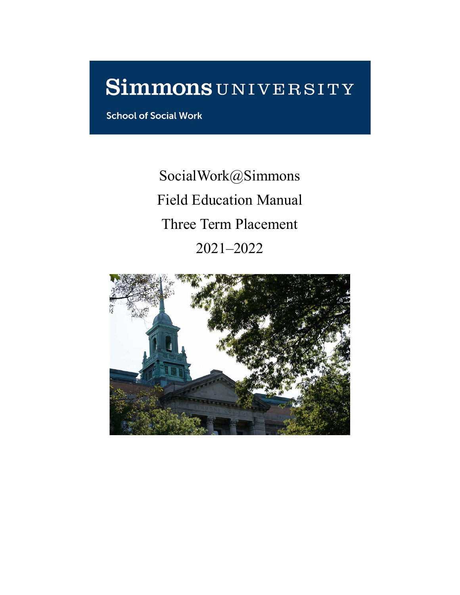# Simmonsuniversity

**School of Social Work** 

SocialWork@Simmons Field Education Manual Three Term Placement 2021–2022

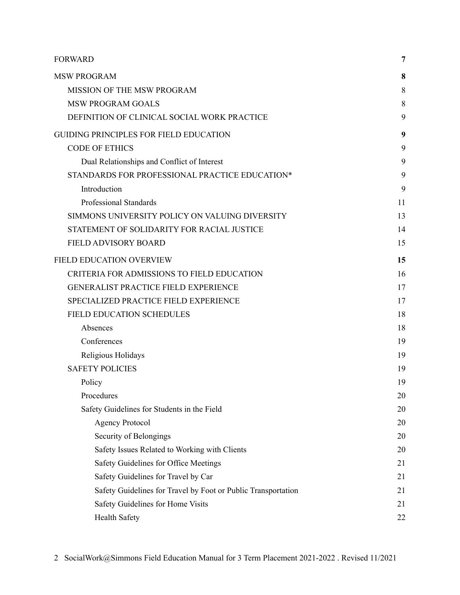| <b>FORWARD</b>                                                |    |
|---------------------------------------------------------------|----|
| <b>MSW PROGRAM</b>                                            | 8  |
| MISSION OF THE MSW PROGRAM                                    | 8  |
| <b>MSW PROGRAM GOALS</b>                                      | 8  |
| DEFINITION OF CLINICAL SOCIAL WORK PRACTICE                   | 9  |
| <b>GUIDING PRINCIPLES FOR FIELD EDUCATION</b>                 | 9  |
| <b>CODE OF ETHICS</b>                                         | 9  |
| Dual Relationships and Conflict of Interest                   | 9  |
| STANDARDS FOR PROFESSIONAL PRACTICE EDUCATION*                | 9  |
| Introduction                                                  | 9  |
| Professional Standards                                        | 11 |
| SIMMONS UNIVERSITY POLICY ON VALUING DIVERSITY                | 13 |
| STATEMENT OF SOLIDARITY FOR RACIAL JUSTICE                    | 14 |
| <b>FIELD ADVISORY BOARD</b>                                   | 15 |
| FIELD EDUCATION OVERVIEW                                      | 15 |
| <b>CRITERIA FOR ADMISSIONS TO FIELD EDUCATION</b>             | 16 |
| <b>GENERALIST PRACTICE FIELD EXPERIENCE</b>                   | 17 |
| SPECIALIZED PRACTICE FIELD EXPERIENCE                         | 17 |
| <b>FIELD EDUCATION SCHEDULES</b>                              | 18 |
| Absences                                                      | 18 |
| Conferences                                                   | 19 |
| Religious Holidays                                            | 19 |
| <b>SAFETY POLICIES</b>                                        | 19 |
| Policy                                                        | 19 |
| Procedures                                                    | 20 |
| Safety Guidelines for Students in the Field                   | 20 |
| <b>Agency Protocol</b>                                        | 20 |
| Security of Belongings                                        | 20 |
| Safety Issues Related to Working with Clients                 | 20 |
| Safety Guidelines for Office Meetings                         | 21 |
| Safety Guidelines for Travel by Car                           | 21 |
| Safety Guidelines for Travel by Foot or Public Transportation | 21 |
| Safety Guidelines for Home Visits                             | 21 |
| <b>Health Safety</b>                                          | 22 |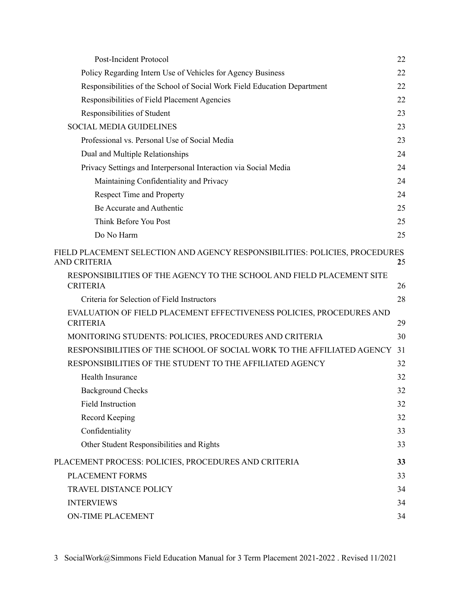| Post-Incident Protocol                                                                             | 22 |
|----------------------------------------------------------------------------------------------------|----|
| Policy Regarding Intern Use of Vehicles for Agency Business                                        | 22 |
| Responsibilities of the School of Social Work Field Education Department                           | 22 |
| Responsibilities of Field Placement Agencies                                                       | 22 |
| Responsibilities of Student                                                                        | 23 |
| <b>SOCIAL MEDIA GUIDELINES</b>                                                                     | 23 |
| Professional vs. Personal Use of Social Media                                                      | 23 |
| Dual and Multiple Relationships                                                                    | 24 |
| Privacy Settings and Interpersonal Interaction via Social Media                                    | 24 |
| Maintaining Confidentiality and Privacy                                                            | 24 |
| <b>Respect Time and Property</b>                                                                   | 24 |
| Be Accurate and Authentic                                                                          | 25 |
| Think Before You Post                                                                              | 25 |
| Do No Harm                                                                                         | 25 |
| FIELD PLACEMENT SELECTION AND AGENCY RESPONSIBILITIES: POLICIES, PROCEDURES<br><b>AND CRITERIA</b> | 25 |
| RESPONSIBILITIES OF THE AGENCY TO THE SCHOOL AND FIELD PLACEMENT SITE<br><b>CRITERIA</b>           | 26 |
| Criteria for Selection of Field Instructors                                                        | 28 |
| EVALUATION OF FIELD PLACEMENT EFFECTIVENESS POLICIES, PROCEDURES AND<br><b>CRITERIA</b>            | 29 |
| MONITORING STUDENTS: POLICIES, PROCEDURES AND CRITERIA                                             | 30 |
| RESPONSIBILITIES OF THE SCHOOL OF SOCIAL WORK TO THE AFFILIATED AGENCY                             | 31 |
| RESPONSIBILITIES OF THE STUDENT TO THE AFFILIATED AGENCY                                           | 32 |
| Health Insurance                                                                                   | 32 |
| <b>Background Checks</b>                                                                           | 32 |
| <b>Field Instruction</b>                                                                           | 32 |
| Record Keeping                                                                                     | 32 |
| Confidentiality                                                                                    | 33 |
| Other Student Responsibilities and Rights                                                          | 33 |
| PLACEMENT PROCESS: POLICIES, PROCEDURES AND CRITERIA                                               | 33 |
| PLACEMENT FORMS                                                                                    | 33 |
| TRAVEL DISTANCE POLICY                                                                             | 34 |
| <b>INTERVIEWS</b>                                                                                  | 34 |
| <b>ON-TIME PLACEMENT</b>                                                                           | 34 |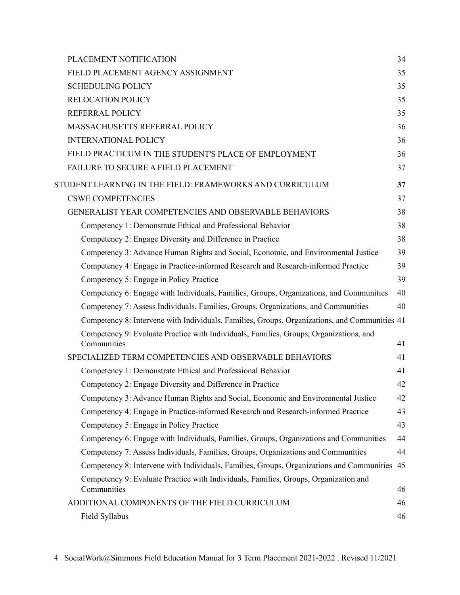| PLACEMENT NOTIFICATION                                                                                | 34 |
|-------------------------------------------------------------------------------------------------------|----|
| FIELD PLACEMENT AGENCY ASSIGNMENT                                                                     | 35 |
| <b>SCHEDULING POLICY</b>                                                                              | 35 |
| <b>RELOCATION POLICY</b>                                                                              | 35 |
| REFERRAL POLICY                                                                                       | 35 |
| MASSACHUSETTS REFERRAL POLICY                                                                         | 36 |
| <b>INTERNATIONAL POLICY</b>                                                                           | 36 |
| FIELD PRACTICUM IN THE STUDENT'S PLACE OF EMPLOYMENT                                                  | 36 |
| FAILURE TO SECURE A FIELD PLACEMENT                                                                   | 37 |
| STUDENT LEARNING IN THE FIELD: FRAMEWORKS AND CURRICULUM                                              | 37 |
| <b>CSWE COMPETENCIES</b>                                                                              | 37 |
| <b>GENERALIST YEAR COMPETENCIES AND OBSERVABLE BEHAVIORS</b>                                          | 38 |
| Competency 1: Demonstrate Ethical and Professional Behavior                                           | 38 |
| Competency 2: Engage Diversity and Difference in Practice                                             | 38 |
| Competency 3: Advance Human Rights and Social, Economic, and Environmental Justice                    | 39 |
| Competency 4: Engage in Practice-informed Research and Research-informed Practice                     | 39 |
| Competency 5: Engage in Policy Practice                                                               | 39 |
| Competency 6: Engage with Individuals, Families, Groups, Organizations, and Communities               | 40 |
| Competency 7: Assess Individuals, Families, Groups, Organizations, and Communities                    | 40 |
| Competency 8: Intervene with Individuals, Families, Groups, Organizations, and Communities 41         |    |
| Competency 9: Evaluate Practice with Individuals, Families, Groups, Organizations, and<br>Communities | 41 |
| SPECIALIZED TERM COMPETENCIES AND OBSERVABLE BEHAVIORS                                                | 41 |
| Competency 1: Demonstrate Ethical and Professional Behavior                                           | 41 |
| Competency 2: Engage Diversity and Difference in Practice                                             | 42 |
| Competency 3: Advance Human Rights and Social, Economic and Environmental Justice                     | 42 |
| Competency 4: Engage in Practice-informed Research and Research-informed Practice                     | 43 |
| Competency 5: Engage in Policy Practice                                                               | 43 |
| Competency 6: Engage with Individuals, Families, Groups, Organizations and Communities                | 44 |
| Competency 7: Assess Individuals, Families, Groups, Organizations and Communities                     | 44 |
| Competency 8: Intervene with Individuals, Families, Groups, Organizations and Communities             | 45 |
| Competency 9: Evaluate Practice with Individuals, Families, Groups, Organization and                  |    |
| Communities                                                                                           | 46 |
| ADDITIONAL COMPONENTS OF THE FIELD CURRICULUM                                                         | 46 |
| Field Syllabus                                                                                        | 46 |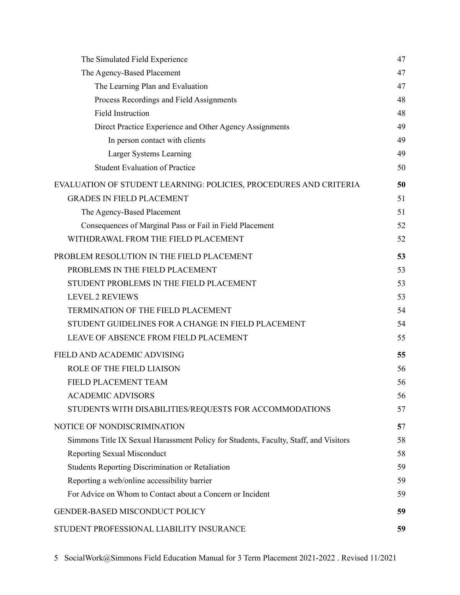| The Simulated Field Experience                                                       | 47 |
|--------------------------------------------------------------------------------------|----|
| The Agency-Based Placement                                                           | 47 |
| The Learning Plan and Evaluation                                                     | 47 |
| Process Recordings and Field Assignments                                             | 48 |
| <b>Field Instruction</b>                                                             | 48 |
| Direct Practice Experience and Other Agency Assignments                              | 49 |
| In person contact with clients                                                       | 49 |
| Larger Systems Learning                                                              | 49 |
| <b>Student Evaluation of Practice</b>                                                | 50 |
| EVALUATION OF STUDENT LEARNING: POLICIES, PROCEDURES AND CRITERIA                    | 50 |
| <b>GRADES IN FIELD PLACEMENT</b>                                                     | 51 |
| The Agency-Based Placement                                                           | 51 |
| Consequences of Marginal Pass or Fail in Field Placement                             | 52 |
| WITHDRAWAL FROM THE FIELD PLACEMENT                                                  | 52 |
| PROBLEM RESOLUTION IN THE FIELD PLACEMENT                                            | 53 |
| PROBLEMS IN THE FIELD PLACEMENT                                                      | 53 |
| STUDENT PROBLEMS IN THE FIELD PLACEMENT                                              | 53 |
| <b>LEVEL 2 REVIEWS</b>                                                               | 53 |
| TERMINATION OF THE FIELD PLACEMENT                                                   | 54 |
| STUDENT GUIDELINES FOR A CHANGE IN FIELD PLACEMENT                                   | 54 |
| LEAVE OF ABSENCE FROM FIELD PLACEMENT                                                | 55 |
| FIELD AND ACADEMIC ADVISING                                                          | 55 |
| <b>ROLE OF THE FIELD LIAISON</b>                                                     | 56 |
| FIELD PLACEMENT TEAM                                                                 | 56 |
| <b>ACADEMIC ADVISORS</b>                                                             | 56 |
| STUDENTS WITH DISABILITIES/REQUESTS FOR ACCOMMODATIONS                               | 57 |
| NOTICE OF NONDISCRIMINATION                                                          | 57 |
| Simmons Title IX Sexual Harassment Policy for Students, Faculty, Staff, and Visitors | 58 |
| Reporting Sexual Misconduct                                                          | 58 |
| <b>Students Reporting Discrimination or Retaliation</b>                              | 59 |
| Reporting a web/online accessibility barrier                                         | 59 |
| For Advice on Whom to Contact about a Concern or Incident                            | 59 |
| GENDER-BASED MISCONDUCT POLICY                                                       | 59 |
| STUDENT PROFESSIONAL LIABILITY INSURANCE                                             | 59 |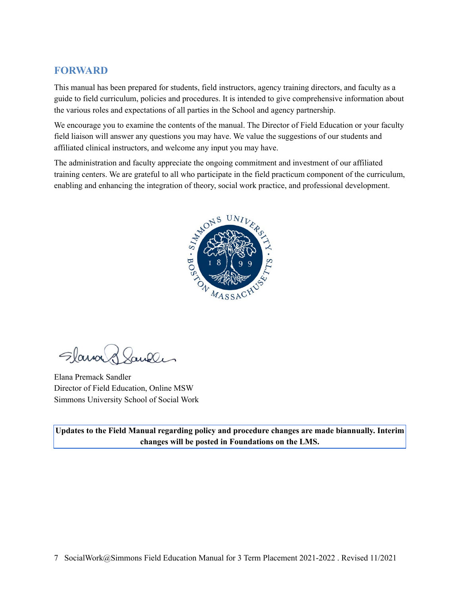# <span id="page-6-0"></span>**FORWARD**

 This manual has been prepared for students, field instructors, agency training directors, and faculty as a guide to field curriculum, policies and procedures. It is intended to give comprehensive information about the various roles and expectations of all parties in the School and agency partnership.

 We encourage you to examine the contents of the manual. The Director of Field Education or your faculty field liaison will answer any questions you may have. We value the suggestions of our students and affiliated clinical instructors, and welcome any input you may have.

 The administration and faculty appreciate the ongoing commitment and investment of our affiliated training centers. We are grateful to all who participate in the field practicum component of the curriculum, enabling and enhancing the integration of theory, social work practice, and professional development.



Flana & Jander

 Elana Premack Sandler Director of Field Education, Online MSW Simmons University School of Social Work

 **Updates to the Field Manual regarding policy and procedure changes are made biannually. Interim changes will be posted in Foundations on the LMS.**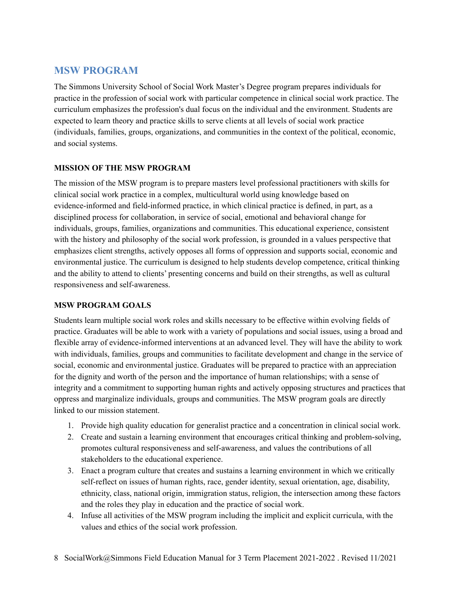# <span id="page-7-0"></span>**MSW PROGRAM**

 The Simmons University School of Social Work Master's Degree program prepares individuals for practice in the profession of social work with particular competence in clinical social work practice. The curriculum emphasizes the profession's dual focus on the individual and the environment. Students are expected to learn theory and practice skills to serve clients at all levels of social work practice (individuals, families, groups, organizations, and communities in the context of the political, economic, and social systems.

# <span id="page-7-1"></span> **MISSION OF THE MSW PROGRAM**

 The mission of the MSW program is to prepare masters level professional practitioners with skills for clinical social work practice in a complex, multicultural world using knowledge based on evidence-informed and field-informed practice, in which clinical practice is defined, in part, as a disciplined process for collaboration, in service of social, emotional and behavioral change for individuals, groups, families, organizations and communities. This educational experience, consistent with the history and philosophy of the social work profession, is grounded in a values perspective that emphasizes client strengths, actively opposes all forms of oppression and supports social, economic and environmental justice. The curriculum is designed to help students develop competence, critical thinking and the ability to attend to clients' presenting concerns and build on their strengths, as well as cultural responsiveness and self-awareness.

#### <span id="page-7-2"></span>**MSW PROGRAM GOALS**

 Students learn multiple social work roles and skills necessary to be effective within evolving fields of practice. Graduates will be able to work with a variety of populations and social issues, using a broad and flexible array of evidence-informed interventions at an advanced level. They will have the ability to work with individuals, families, groups and communities to facilitate development and change in the service of social, economic and environmental justice. Graduates will be prepared to practice with an appreciation for the dignity and worth of the person and the importance of human relationships; with a sense of integrity and a commitment to supporting human rights and actively opposing structures and practices that oppress and marginalize individuals, groups and communities. The MSW program goals are directly linked to our mission statement.

- 1. Provide high quality education for generalist practice and a concentration in clinical social work.
- 2. Create and sustain a learning environment that encourages critical thinking and problem-solving, promotes cultural responsiveness and self-awareness, and values the contributions of all stakeholders to the educational experience.
- 3. Enact a program culture that creates and sustains a learning environment in which we critically self-reflect on issues of human rights, race, gender identity, sexual orientation, age, disability, ethnicity, class, national origin, immigration status, religion, the intersection among these factors and the roles they play in education and the practice of social work.
- 4. Infuse all activities of the MSW program including the implicit and explicit curricula, with the values and ethics of the social work profession.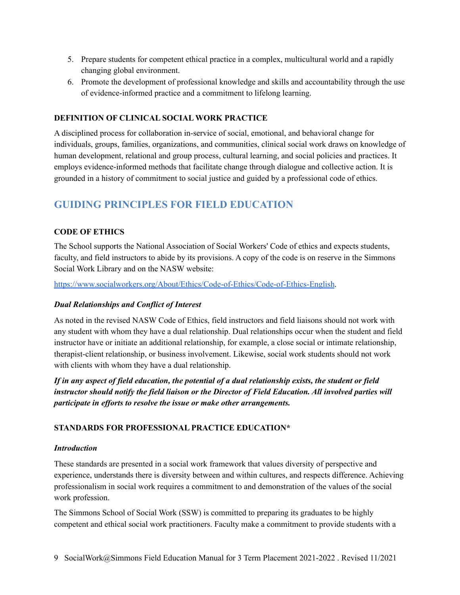- 5. Prepare students for competent ethical practice in a complex, multicultural world and a rapidly changing global environment.
- 6. Promote the development of professional knowledge and skills and accountability through the use of evidence-informed practice and a commitment to lifelong learning.

# <span id="page-8-0"></span> **DEFINITION OF CLINICAL SOCIAL WORK PRACTICE**

 A disciplined process for collaboration in-service of social, emotional, and behavioral change for individuals, groups, families, organizations, and communities, clinical social work draws on knowledge of human development, relational and group process, cultural learning, and social policies and practices. It employs evidence-informed methods that facilitate change through dialogue and collective action. It is grounded in a history of commitment to social justice and guided by a professional code of ethics.

# <span id="page-8-1"></span> **GUIDING PRINCIPLES FOR FIELD EDUCATION**

# <span id="page-8-2"></span> **CODE OF ETHICS**

 The School supports the National Association of Social Workers' Code of ethics and expects students, faculty, and field instructors to abide by its provisions. A copy of the code is on reserve in the Simmons Social Work Library and on the NASW website:

<https://www.socialworkers.org/About/Ethics/Code-of-Ethics/Code-of-Ethics-English>.

#### <span id="page-8-3"></span> *Dual Relationships and Conflict of Interest*

 As noted in the revised NASW Code of Ethics, field instructors and field liaisons should not work with any student with whom they have a dual relationship. Dual relationships occur when the student and field instructor have or initiate an additional relationship, for example, a close social or intimate relationship, therapist-client relationship, or business involvement. Likewise, social work students should not work with clients with whom they have a dual relationship.

If in any aspect of field education, the potential of a dual relationship exists, the student or field instructor should notify the field liaison or the Director of Field Education. All involved parties will  *participate in efforts to resolve the issue or make other arrangements.*

# <span id="page-8-4"></span> **STANDARDS FOR PROFESSIONAL PRACTICE EDUCATION\***

#### <span id="page-8-5"></span>*Introduction*

 These standards are presented in a social work framework that values diversity of perspective and experience, understands there is diversity between and within cultures, and respects difference. Achieving professionalism in social work requires a commitment to and demonstration of the values of the social work profession.

 The Simmons School of Social Work (SSW) is committed to preparing its graduates to be highly competent and ethical social work practitioners. Faculty make a commitment to provide students with a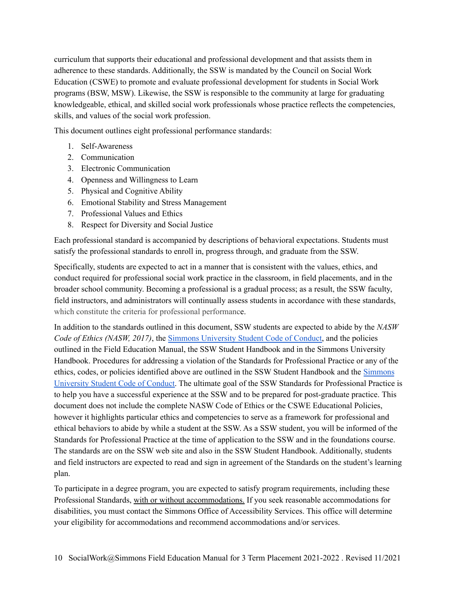curriculum that supports their educational and professional development and that assists them in adherence to these standards. Additionally, the SSW is mandated by the Council on Social Work Education (CSWE) to promote and evaluate professional development for students in Social Work programs (BSW, MSW). Likewise, the SSW is responsible to the community at large for graduating knowledgeable, ethical, and skilled social work professionals whose practice reflects the competencies, skills, and values of the social work profession.

This document outlines eight professional performance standards:

- 1. Self-Awareness
- 2. Communication
- 3. Electronic Communication
- 4. Openness and Willingness to Learn
- 5. Physical and Cognitive Ability
- 6. Emotional Stability and Stress Management
- 7. Professional Values and Ethics
- 8. Respect for Diversity and Social Justice

 Each professional standard is accompanied by descriptions of behavioral expectations. Students must satisfy the professional standards to enroll in, progress through, and graduate from the SSW.

 Specifically, students are expected to act in a manner that is consistent with the values, ethics, and conduct required for professional social work practice in the classroom, in field placements, and in the broader school community. Becoming a professional is a gradual process; as a result, the SSW faculty, field instructors, and administrators will continually assess students in accordance with these standards, which constitute the criteria for professional performance.

 In addition to the standards outlined in this document, SSW students are expected to abide by the *NASW Code of Ethics (NASW, 2017)*, the Simmons [University](http://www.simmons.edu/code-of-conduct) Student Code of Conduct, and the policies outlined in the Field Education Manual, the SSW Student Handbook and in the Simmons University Handbook. Procedures for addressing a violation of the Standards for Professional Practice or any of the ethics, codes, or policies identified above are outlined in the SSW Student Handbook and the **[Simmons](http://www.simmons.edu/code-of-conduct)**  [University](http://www.simmons.edu/code-of-conduct) Student Code of Conduct. The ultimate goal of the SSW Standards for Professional Practice is to help you have a successful experience at the SSW and to be prepared for post-graduate practice. This document does not include the complete NASW Code of Ethics or the CSWE Educational Policies, however it highlights particular ethics and competencies to serve as a framework for professional and ethical behaviors to abide by while a student at the SSW. As a SSW student, you will be informed of the Standards for Professional Practice at the time of application to the SSW and in the foundations course. The standards are on the SSW web site and also in the SSW Student Handbook. Additionally, students and field instructors are expected to read and sign in agreement of the Standards on the student's learning plan.

 To participate in a degree program, you are expected to satisfy program requirements, including these Professional Standards, with or without accommodations. If you seek reasonable accommodations for disabilities, you must contact the Simmons Office of Accessibility Services. This office will determine your eligibility for accommodations and recommend accommodations and/or services.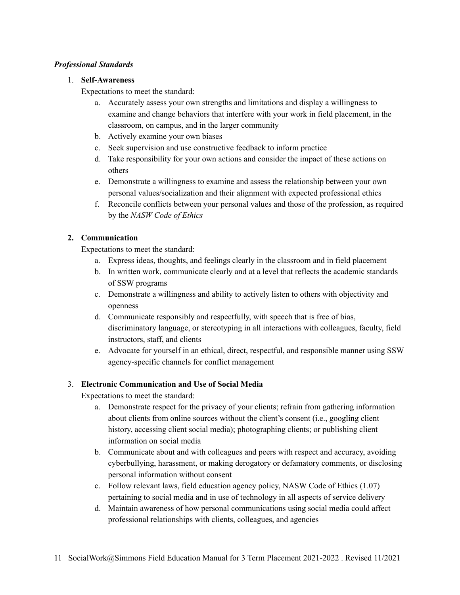#### <span id="page-10-0"></span>*Professional Standards*

#### 1. **Self-Awareness**

Expectations to meet the standard:

- a. Accurately assess your own strengths and limitations and display a willingness to examine and change behaviors that interfere with your work in field placement, in the classroom, on campus, and in the larger community
- b. Actively examine your own biases
- c. Seek supervision and use constructive feedback to inform practice
- d. Take responsibility for your own actions and consider the impact of these actions on others
- e. Demonstrate a willingness to examine and assess the relationship between your own personal values/socialization and their alignment with expected professional ethics
- f. Reconcile conflicts between your personal values and those of the profession, as required  by the *NASW Code of Ethics*

#### **2. Communication**

Expectations to meet the standard:

- a. Express ideas, thoughts, and feelings clearly in the classroom and in field placement
- b. In written work, communicate clearly and at a level that reflects the academic standards of SSW programs
- c. Demonstrate a willingness and ability to actively listen to others with objectivity and openness
- d. Communicate responsibly and respectfully, with speech that is free of bias, discriminatory language, or stereotyping in all interactions with colleagues, faculty, field instructors, staff, and clients
- e. Advocate for yourself in an ethical, direct, respectful, and responsible manner using SSW agency-specific channels for conflict management

#### 3. **Electronic Communication and Use of Social Media**

Expectations to meet the standard:

- a. Demonstrate respect for the privacy of your clients; refrain from gathering information about clients from online sources without the client's consent (i.e., googling client history, accessing client social media); photographing clients; or publishing client information on social media
- b. Communicate about and with colleagues and peers with respect and accuracy, avoiding cyberbullying, harassment, or making derogatory or defamatory comments, or disclosing personal information without consent
- c. Follow relevant laws, field education agency policy, NASW Code of Ethics (1.07) pertaining to social media and in use of technology in all aspects of service delivery
- d. Maintain awareness of how personal communications using social media could affect professional relationships with clients, colleagues, and agencies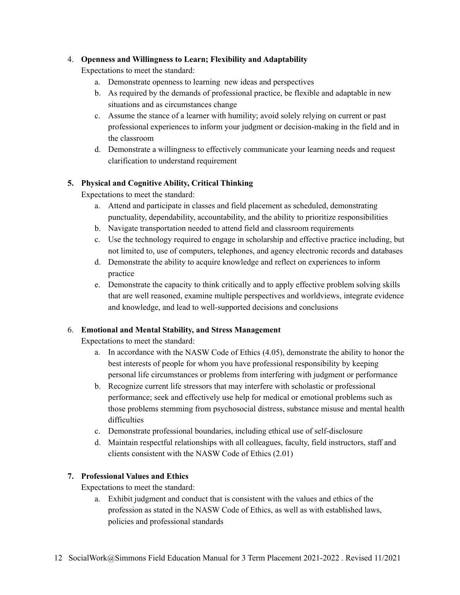### 4. **Openness and Willingness to Learn; Flexibility and Adaptability**

Expectations to meet the standard:

- a. Demonstrate openness to learning new ideas and perspectives
- b. As required by the demands of professional practice, be flexible and adaptable in new situations and as circumstances change
- c. Assume the stance of a learner with humility; avoid solely relying on current or past professional experiences to inform your judgment or decision-making in the field and in the classroom
- d. Demonstrate a willingness to effectively communicate your learning needs and request clarification to understand requirement

# **5. Physical and Cognitive Ability, Critical Thinking**

Expectations to meet the standard:

- a. Attend and participate in classes and field placement as scheduled, demonstrating punctuality, dependability, accountability, and the ability to prioritize responsibilities
- b. Navigate transportation needed to attend field and classroom requirements
- c. Use the technology required to engage in scholarship and effective practice including, but not limited to, use of computers, telephones, and agency electronic records and databases
- d. Demonstrate the ability to acquire knowledge and reflect on experiences to inform practice
- e. Demonstrate the capacity to think critically and to apply effective problem solving skills that are well reasoned, examine multiple perspectives and worldviews, integrate evidence and knowledge, and lead to well-supported decisions and conclusions

# 6. **Emotional and Mental Stability, and Stress Management**

Expectations to meet the standard:

- a. In accordance with the NASW Code of Ethics (4.05), demonstrate the ability to honor the best interests of people for whom you have professional responsibility by keeping personal life circumstances or problems from interfering with judgment or performance
- b. Recognize current life stressors that may interfere with scholastic or professional performance; seek and effectively use help for medical or emotional problems such as those problems stemming from psychosocial distress, substance misuse and mental health difficulties
- c. Demonstrate professional boundaries, including ethical use of self-disclosure
- d. Maintain respectful relationships with all colleagues, faculty, field instructors, staff and clients consistent with the NASW Code of Ethics (2.01)

# **7. Professional Values and Ethics**

Expectations to meet the standard:

 a. Exhibit judgment and conduct that is consistent with the values and ethics of the profession as stated in the NASW Code of Ethics, as well as with established laws, policies and professional standards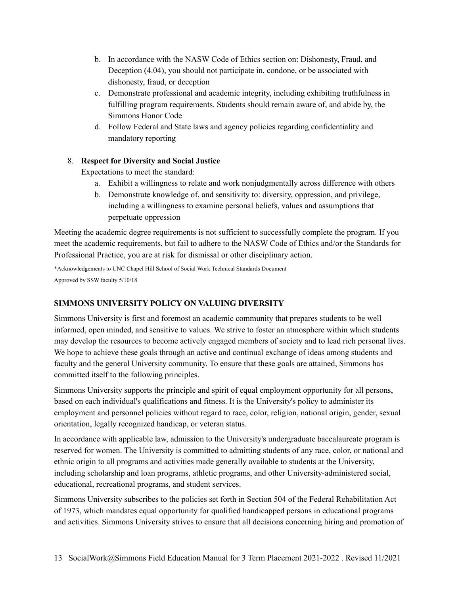- b. In accordance with the NASW Code of Ethics section on: Dishonesty, Fraud, and Deception (4.04), you should not participate in, condone, or be associated with dishonesty, fraud, or deception
- c. Demonstrate professional and academic integrity, including exhibiting truthfulness in fulfilling program requirements. Students should remain aware of, and abide by, the Simmons Honor Code
- d. Follow Federal and State laws and agency policies regarding confidentiality and mandatory reporting

# 8. **Respect for Diversity and Social Justice**

Expectations to meet the standard:

- a. Exhibit a willingness to relate and work nonjudgmentally across difference with others
- b. Demonstrate knowledge of, and sensitivity to: diversity, oppression, and privilege, including a willingness to examine personal beliefs, values and assumptions that perpetuate oppression

 Meeting the academic degree requirements is not sufficient to successfully complete the program. If you meet the academic requirements, but fail to adhere to the NASW Code of Ethics and/or the Standards for Professional Practice, you are at risk for dismissal or other disciplinary action.

 \*Acknowledgements to UNC Chapel Hill School of Social Work Technical Standards Document Approved by SSW faculty 5/10/18

# <span id="page-12-0"></span> **SIMMONS UNIVERSITY POLICY ON VALUING DIVERSITY**

 Simmons University is first and foremost an academic community that prepares students to be well informed, open minded, and sensitive to values. We strive to foster an atmosphere within which students may develop the resources to become actively engaged members of society and to lead rich personal lives. We hope to achieve these goals through an active and continual exchange of ideas among students and faculty and the general University community. To ensure that these goals are attained, Simmons has committed itself to the following principles.

 Simmons University supports the principle and spirit of equal employment opportunity for all persons, based on each individual's qualifications and fitness. It is the University's policy to administer its employment and personnel policies without regard to race, color, religion, national origin, gender, sexual orientation, legally recognized handicap, or veteran status.

 In accordance with applicable law, admission to the University's undergraduate baccalaureate program is reserved for women. The University is committed to admitting students of any race, color, or national and ethnic origin to all programs and activities made generally available to students at the University, including scholarship and loan programs, athletic programs, and other University-administered social, educational, recreational programs, and student services.

 Simmons University subscribes to the policies set forth in Section 504 of the Federal Rehabilitation Act of 1973, which mandates equal opportunity for qualified handicapped persons in educational programs and activities. Simmons University strives to ensure that all decisions concerning hiring and promotion of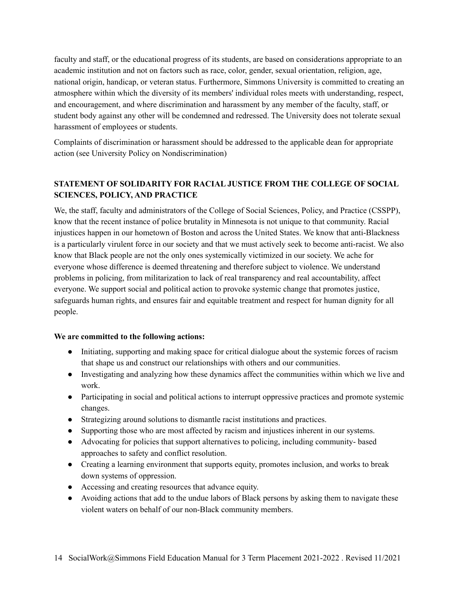<span id="page-13-0"></span> faculty and staff, or the educational progress of its students, are based on considerations appropriate to an academic institution and not on factors such as race, color, gender, sexual orientation, religion, age, national origin, handicap, or veteran status. Furthermore, Simmons University is committed to creating an atmosphere within which the diversity of its members' individual roles meets with understanding, respect, and encouragement, and where discrimination and harassment by any member of the faculty, staff, or student body against any other will be condemned and redressed. The University does not tolerate sexual harassment of employees or students.

 Complaints of discrimination or harassment should be addressed to the applicable dean for appropriate action (see University Policy on Nondiscrimination)

# **STATEMENT OF SOLIDARITY FOR RACIAL JUSTICE FROM THE COLLEGE OF SOCIAL SCIENCES, POLICY, AND PRACTICE**

 We, the staff, faculty and administrators of the College of Social Sciences, Policy, and Practice (CSSPP), know that the recent instance of police brutality in Minnesota is not unique to that community. Racial injustices happen in our hometown of Boston and across the United States. We know that anti-Blackness is a particularly virulent force in our society and that we must actively seek to become anti-racist. We also everyone whose difference is deemed threatening and therefore subject to violence. We understand problems in policing, from militarization to lack of real transparency and real accountability, affect everyone. We support social and political action to provoke systemic change that promotes justice, safeguards human rights, and ensures fair and equitable treatment and respect for human dignity for all know that Black people are not the only ones systemically victimized in our society. We ache for people.

# **We are committed to the following actions:**

- ● Initiating, supporting and making space for critical dialogue about the systemic forces of racism that shape us and construct our relationships with others and our communities.
- ● Investigating and analyzing how these dynamics affect the communities within which we live and work.
- ● Participating in social and political actions to interrupt oppressive practices and promote systemic changes.
- Strategizing around solutions to dismantle racist institutions and practices.
- Supporting those who are most affected by racism and injustices inherent in our systems.
- ● Advocating for policies that support alternatives to policing, including community- based approaches to safety and conflict resolution.
- ● Creating a learning environment that supports equity, promotes inclusion, and works to break down systems of oppression.
- Accessing and creating resources that advance equity.
- ● Avoiding actions that add to the undue labors of Black persons by asking them to navigate these violent waters on behalf of our non-Black community members.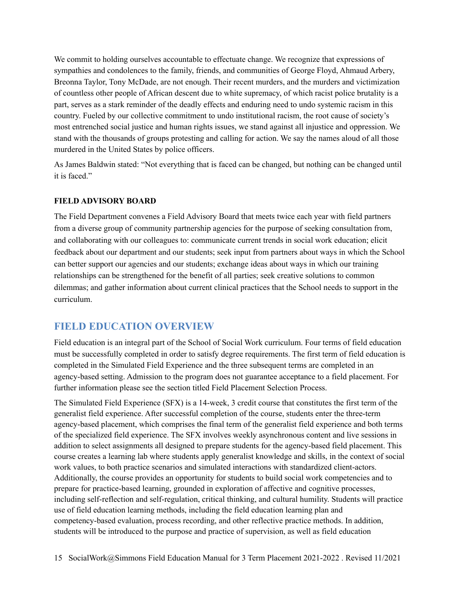We commit to holding ourselves accountable to effectuate change. We recognize that expressions of sympathies and condolences to the family, friends, and communities of George Floyd, Ahmaud Arbery, Breonna Taylor, Tony McDade, are not enough. Their recent murders, and the murders and victimization of countless other people of African descent due to white supremacy, of which racist police brutality is a part, serves as a stark reminder of the deadly effects and enduring need to undo systemic racism in this country. Fueled by our collective commitment to undo institutional racism, the root cause of society's most entrenched social justice and human rights issues, we stand against all injustice and oppression. We stand with the thousands of groups protesting and calling for action. We say the names aloud of all those murdered in the United States by police officers.

 As James Baldwin stated: "Not everything that is faced can be changed, but nothing can be changed until it is faced."

#### <span id="page-14-0"></span>**FIELD ADVISORY BOARD**

 The Field Department convenes a Field Advisory Board that meets twice each year with field partners from a diverse group of community partnership agencies for the purpose of seeking consultation from, and collaborating with our colleagues to: communicate current trends in social work education; elicit feedback about our department and our students; seek input from partners about ways in which the School can better support our agencies and our students; exchange ideas about ways in which our training relationships can be strengthened for the benefit of all parties; seek creative solutions to common dilemmas; and gather information about current clinical practices that the School needs to support in the curriculum.

# <span id="page-14-1"></span>**FIELD EDUCATION OVERVIEW**

 Field education is an integral part of the School of Social Work curriculum. Four terms of field education must be successfully completed in order to satisfy degree requirements. The first term of field education is completed in the Simulated Field Experience and the three subsequent terms are completed in an agency-based setting. Admission to the program does not guarantee acceptance to a field placement. For further information please see the section titled Field Placement Selection Process.

 The Simulated Field Experience (SFX) is a 14-week, 3 credit course that constitutes the first term of the generalist field experience. After successful completion of the course, students enter the three-term agency-based placement, which comprises the final term of the generalist field experience and both terms of the specialized field experience. The SFX involves weekly asynchronous content and live sessions in addition to select assignments all designed to prepare students for the agency-based field placement. This course creates a learning lab where students apply generalist knowledge and skills, in the context of social work values, to both practice scenarios and simulated interactions with standardized client-actors. Additionally, the course provides an opportunity for students to build social work competencies and to prepare for practice-based learning, grounded in exploration of affective and cognitive processes, including self-reflection and self-regulation, critical thinking, and cultural humility. Students will practice use of field education learning methods, including the field education learning plan and competency-based evaluation, process recording, and other reflective practice methods. In addition, students will be introduced to the purpose and practice of supervision, as well as field education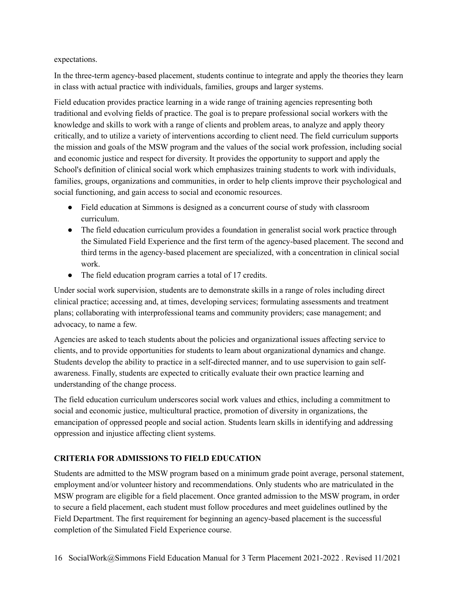expectations.

 In the three-term agency-based placement, students continue to integrate and apply the theories they learn in class with actual practice with individuals, families, groups and larger systems.

 Field education provides practice learning in a wide range of training agencies representing both traditional and evolving fields of practice. The goal is to prepare professional social workers with the knowledge and skills to work with a range of clients and problem areas, to analyze and apply theory critically, and to utilize a variety of interventions according to client need. The field curriculum supports the mission and goals of the MSW program and the values of the social work profession, including social and economic justice and respect for diversity. It provides the opportunity to support and apply the School's definition of clinical social work which emphasizes training students to work with individuals, families, groups, organizations and communities, in order to help clients improve their psychological and social functioning, and gain access to social and economic resources.

- ● Field education at Simmons is designed as a concurrent course of study with classroom curriculum.
- ● The field education curriculum provides a foundation in generalist social work practice through the Simulated Field Experience and the first term of the agency-based placement. The second and third terms in the agency-based placement are specialized, with a concentration in clinical social work.
- The field education program carries a total of 17 credits.

 Under social work supervision, students are to demonstrate skills in a range of roles including direct clinical practice; accessing and, at times, developing services; formulating assessments and treatment plans; collaborating with interprofessional teams and community providers; case management; and advocacy, to name a few.

 Agencies are asked to teach students about the policies and organizational issues affecting service to clients, and to provide opportunities for students to learn about organizational dynamics and change. Students develop the ability to practice in a self-directed manner, and to use supervision to gain self- awareness. Finally, students are expected to critically evaluate their own practice learning and understanding of the change process.

 The field education curriculum underscores social work values and ethics, including a commitment to social and economic justice, multicultural practice, promotion of diversity in organizations, the emancipation of oppressed people and social action. Students learn skills in identifying and addressing oppression and injustice affecting client systems.

# <span id="page-15-0"></span> **CRITERIA FOR ADMISSIONS TO FIELD EDUCATION**

 Students are admitted to the MSW program based on a minimum grade point average, personal statement, employment and/or volunteer history and recommendations. Only students who are matriculated in the MSW program are eligible for a field placement. Once granted admission to the MSW program, in order to secure a field placement, each student must follow procedures and meet guidelines outlined by the Field Department. The first requirement for beginning an agency-based placement is the successful completion of the Simulated Field Experience course.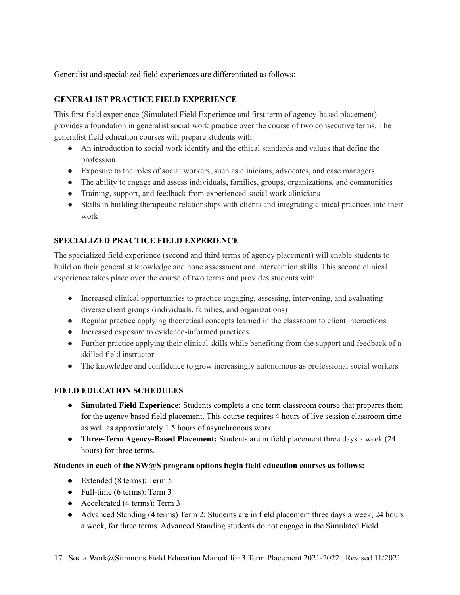Generalist and specialized field experiences are differentiated as follows:

# <span id="page-16-0"></span> **GENERALIST PRACTICE FIELD EXPERIENCE**

 This first field experience (Simulated Field Experience and first term of agency-based placement) provides a foundation in generalist social work practice over the course of two consecutive terms. The generalist field education courses will prepare students with:

- ● An introduction to social work identity and the ethical standards and values that define the profession
- Exposure to the roles of social workers, such as clinicians, advocates, and case managers
- The ability to engage and assess individuals, families, groups, organizations, and communities
- Training, support, and feedback from experienced social work clinicians
- ● Skills in building therapeutic relationships with clients and integrating clinical practices into their work

# <span id="page-16-1"></span> **SPECIALIZED PRACTICE FIELD EXPERIENCE**

 The specialized field experience (second and third terms of agency placement) will enable students to build on their generalist knowledge and hone assessment and intervention skills. This second clinical experience takes place over the course of two terms and provides students with:

- ● Increased clinical opportunities to practice engaging, assessing, intervening, and evaluating diverse client groups (individuals, families, and organizations)
- Regular practice applying theoretical concepts learned in the classroom to client interactions
- Increased exposure to evidence-informed practices
- ● Further practice applying their clinical skills while benefiting from the support and feedback of a skilled field instructor
- The knowledge and confidence to grow increasingly autonomous as professional social workers

# <span id="page-16-2"></span>**FIELD EDUCATION SCHEDULES**

- **Simulated Field Experience:** Students complete a one term classroom course that prepares them for the agency based field placement. This course requires 4 hours of live session classroom time as well as approximately 1.5 hours of asynchronous work.
- ● **Three-Term Agency-Based Placement:** Students are in field placement three days a week (24 hours) for three terms.

# **Students in each of the SW@S program options begin field education courses as follows:**

- Extended (8 terms): Term 5
- Full-time (6 terms): Term 3
- Accelerated (4 terms): Term 3
- Advanced Standing (4 terms) Term 2: Students are in field placement three days a week, 24 hours a week, for three terms. Advanced Standing students do not engage in the Simulated Field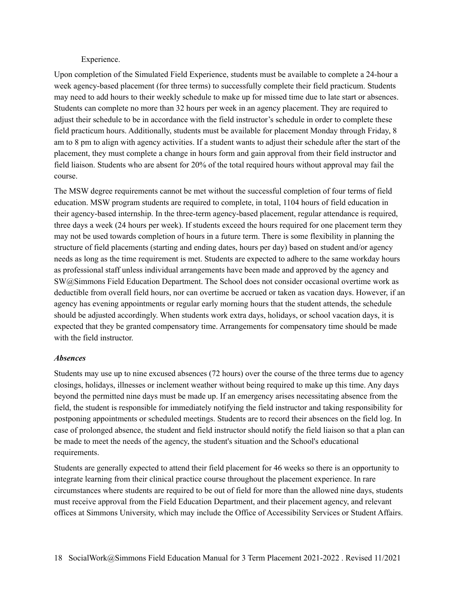#### Experience.

 Upon completion of the Simulated Field Experience, students must be available to complete a 24-hour a week agency-based placement (for three terms) to successfully complete their field practicum. Students may need to add hours to their weekly schedule to make up for missed time due to late start or absences. Students can complete no more than 32 hours per week in an agency placement. They are required to adjust their schedule to be in accordance with the field instructor's schedule in order to complete these field practicum hours. Additionally, students must be available for placement Monday through Friday, 8 am to 8 pm to align with agency activities. If a student wants to adjust their schedule after the start of the placement, they must complete a change in hours form and gain approval from their field instructor and field liaison. Students who are absent for 20% of the total required hours without approval may fail the course.

 The MSW degree requirements cannot be met without the successful completion of four terms of field education. MSW program students are required to complete, in total, 1104 hours of field education in their agency-based internship. In the three-term agency-based placement, regular attendance is required, three days a week (24 hours per week). If students exceed the hours required for one placement term they may not be used towards completion of hours in a future term. There is some flexibility in planning the structure of field placements (starting and ending dates, hours per day) based on student and/or agency needs as long as the time requirement is met. Students are expected to adhere to the same workday hours as professional staff unless individual arrangements have been made and approved by the agency and SW@Simmons Field Education Department. The School does not consider occasional overtime work as deductible from overall field hours, nor can overtime be accrued or taken as vacation days. However, if an agency has evening appointments or regular early morning hours that the student attends, the schedule should be adjusted accordingly. When students work extra days, holidays, or school vacation days, it is expected that they be granted compensatory time. Arrangements for compensatory time should be made with the field instructor.

#### <span id="page-17-0"></span>*Absences*

 Students may use up to nine excused absences (72 hours) over the course of the three terms due to agency closings, holidays, illnesses or inclement weather without being required to make up this time. Any days beyond the permitted nine days must be made up. If an emergency arises necessitating absence from the field, the student is responsible for immediately notifying the field instructor and taking responsibility for postponing appointments or scheduled meetings. Students are to record their absences on the field log. In case of prolonged absence, the student and field instructor should notify the field liaison so that a plan can be made to meet the needs of the agency, the student's situation and the School's educational requirements.

 Students are generally expected to attend their field placement for 46 weeks so there is an opportunity to integrate learning from their clinical practice course throughout the placement experience. In rare circumstances where students are required to be out of field for more than the allowed nine days, students must receive approval from the Field Education Department, and their placement agency, and relevant offices at Simmons University, which may include the Office of Accessibility Services or Student Affairs.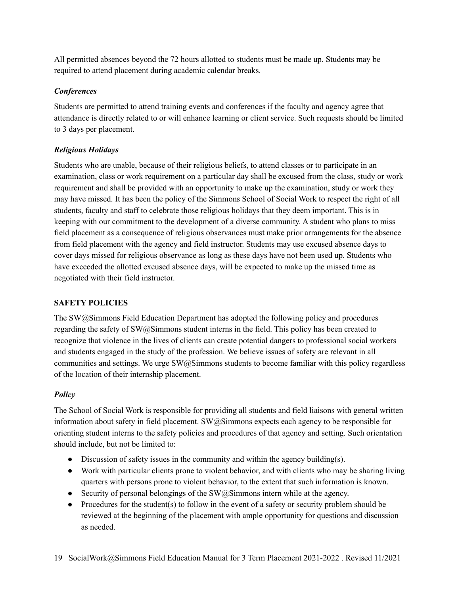All permitted absences beyond the 72 hours allotted to students must be made up. Students may be required to attend placement during academic calendar breaks.

# <span id="page-18-0"></span>*Conferences*

 Students are permitted to attend training events and conferences if the faculty and agency agree that attendance is directly related to or will enhance learning or client service. Such requests should be limited to 3 days per placement.

# <span id="page-18-1"></span>*Religious Holidays*

 Students who are unable, because of their religious beliefs, to attend classes or to participate in an examination, class or work requirement on a particular day shall be excused from the class, study or work requirement and shall be provided with an opportunity to make up the examination, study or work they may have missed. It has been the policy of the Simmons School of Social Work to respect the right of all students, faculty and staff to celebrate those religious holidays that they deem important. This is in keeping with our commitment to the development of a diverse community. A student who plans to miss field placement as a consequence of religious observances must make prior arrangements for the absence from field placement with the agency and field instructor. Students may use excused absence days to cover days missed for religious observance as long as these days have not been used up. Students who have exceeded the allotted excused absence days, will be expected to make up the missed time as negotiated with their field instructor.

# <span id="page-18-2"></span>**SAFETY POLICIES**

 The SW@Simmons Field Education Department has adopted the following policy and procedures regarding the safety of SW@Simmons student interns in the field. This policy has been created to recognize that violence in the lives of clients can create potential dangers to professional social workers and students engaged in the study of the profession. We believe issues of safety are relevant in all communities and settings. We urge SW@Simmons students to become familiar with this policy regardless of the location of their internship placement.

# <span id="page-18-3"></span>*Policy*

 The School of Social Work is responsible for providing all students and field liaisons with general written information about safety in field placement. SW@Simmons expects each agency to be responsible for orienting student interns to the safety policies and procedures of that agency and setting. Such orientation should include, but not be limited to:

- Discussion of safety issues in the community and within the agency building(s).
- ● Work with particular clients prone to violent behavior, and with clients who may be sharing living quarters with persons prone to violent behavior, to the extent that such information is known.
- Security of personal belongings of the SW@Simmons intern while at the agency.
- Procedures for the student(s) to follow in the event of a safety or security problem should be reviewed at the beginning of the placement with ample opportunity for questions and discussion as needed.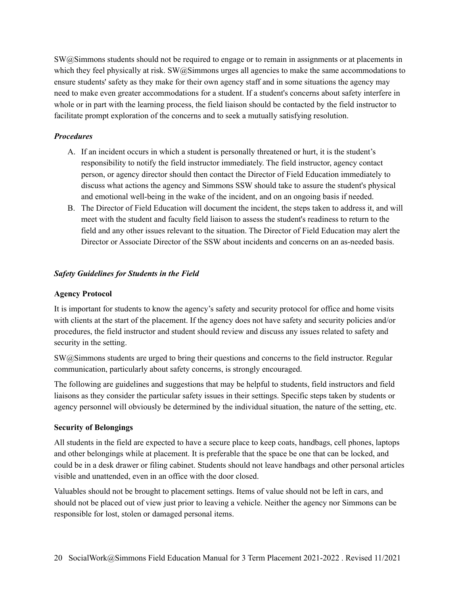SW@Simmons students should not be required to engage or to remain in assignments or at placements in which they feel physically at risk. SW@Simmons urges all agencies to make the same accommodations to ensure students' safety as they make for their own agency staff and in some situations the agency may need to make even greater accommodations for a student. If a student's concerns about safety interfere in whole or in part with the learning process, the field liaison should be contacted by the field instructor to facilitate prompt exploration of the concerns and to seek a mutually satisfying resolution.

#### <span id="page-19-0"></span>*Procedures*

- A. If an incident occurs in which a student is personally threatened or hurt, it is the student's responsibility to notify the field instructor immediately. The field instructor, agency contact person, or agency director should then contact the Director of Field Education immediately to discuss what actions the agency and Simmons SSW should take to assure the student's physical and emotional well-being in the wake of the incident, and on an ongoing basis if needed.
- B. The Director of Field Education will document the incident, the steps taken to address it, and will meet with the student and faculty field liaison to assess the student's readiness to return to the field and any other issues relevant to the situation. The Director of Field Education may alert the Director or Associate Director of the SSW about incidents and concerns on an as-needed basis.

# <span id="page-19-1"></span> *Safety Guidelines for Students in the Field*

#### <span id="page-19-2"></span>**Agency Protocol**

 It is important for students to know the agency's safety and security protocol for office and home visits with clients at the start of the placement. If the agency does not have safety and security policies and/or procedures, the field instructor and student should review and discuss any issues related to safety and security in the setting.

 SW@Simmons students are urged to bring their questions and concerns to the field instructor. Regular communication, particularly about safety concerns, is strongly encouraged.

 The following are guidelines and suggestions that may be helpful to students, field instructors and field liaisons as they consider the particular safety issues in their settings. Specific steps taken by students or agency personnel will obviously be determined by the individual situation, the nature of the setting, etc.

#### <span id="page-19-3"></span> **Security of Belongings**

 All students in the field are expected to have a secure place to keep coats, handbags, cell phones, laptops and other belongings while at placement. It is preferable that the space be one that can be locked, and could be in a desk drawer or filing cabinet. Students should not leave handbags and other personal articles visible and unattended, even in an office with the door closed.

 Valuables should not be brought to placement settings. Items of value should not be left in cars, and should not be placed out of view just prior to leaving a vehicle. Neither the agency nor Simmons can be responsible for lost, stolen or damaged personal items.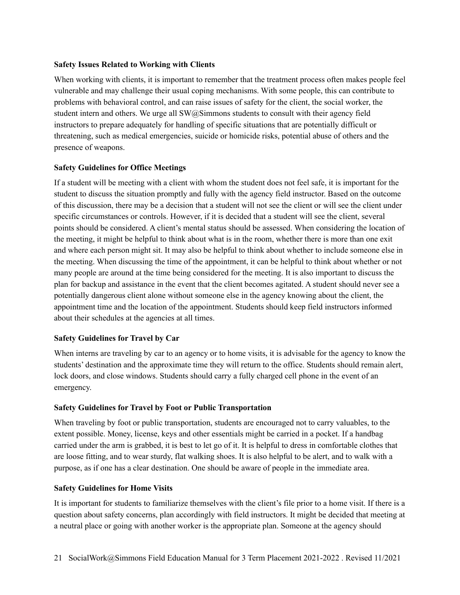#### <span id="page-20-0"></span> **Safety Issues Related to Working with Clients**

 When working with clients, it is important to remember that the treatment process often makes people feel vulnerable and may challenge their usual coping mechanisms. With some people, this can contribute to problems with behavioral control, and can raise issues of safety for the client, the social worker, the student intern and others. We urge all SW@Simmons students to consult with their agency field instructors to prepare adequately for handling of specific situations that are potentially difficult or threatening, such as medical emergencies, suicide or homicide risks, potential abuse of others and the presence of weapons.

#### <span id="page-20-1"></span> **Safety Guidelines for Office Meetings**

 If a student will be meeting with a client with whom the student does not feel safe, it is important for the student to discuss the situation promptly and fully with the agency field instructor. Based on the outcome of this discussion, there may be a decision that a student will not see the client or will see the client under specific circumstances or controls. However, if it is decided that a student will see the client, several points should be considered. A client's mental status should be assessed. When considering the location of the meeting, it might be helpful to think about what is in the room, whether there is more than one exit and where each person might sit. It may also be helpful to think about whether to include someone else in the meeting. When discussing the time of the appointment, it can be helpful to think about whether or not many people are around at the time being considered for the meeting. It is also important to discuss the plan for backup and assistance in the event that the client becomes agitated. A student should never see a potentially dangerous client alone without someone else in the agency knowing about the client, the appointment time and the location of the appointment. Students should keep field instructors informed about their schedules at the agencies at all times.

#### <span id="page-20-2"></span> **Safety Guidelines for Travel by Car**

 When interns are traveling by car to an agency or to home visits, it is advisable for the agency to know the students' destination and the approximate time they will return to the office. Students should remain alert, lock doors, and close windows. Students should carry a fully charged cell phone in the event of an emergency.

#### <span id="page-20-3"></span> **Safety Guidelines for Travel by Foot or Public Transportation**

 When traveling by foot or public transportation, students are encouraged not to carry valuables, to the extent possible. Money, license, keys and other essentials might be carried in a pocket. If a handbag carried under the arm is grabbed, it is best to let go of it. It is helpful to dress in comfortable clothes that are loose fitting, and to wear sturdy, flat walking shoes. It is also helpful to be alert, and to walk with a purpose, as if one has a clear destination. One should be aware of people in the immediate area.

## <span id="page-20-4"></span> **Safety Guidelines for Home Visits**

 It is important for students to familiarize themselves with the client's file prior to a home visit. If there is a question about safety concerns, plan accordingly with field instructors. It might be decided that meeting at a neutral place or going with another worker is the appropriate plan. Someone at the agency should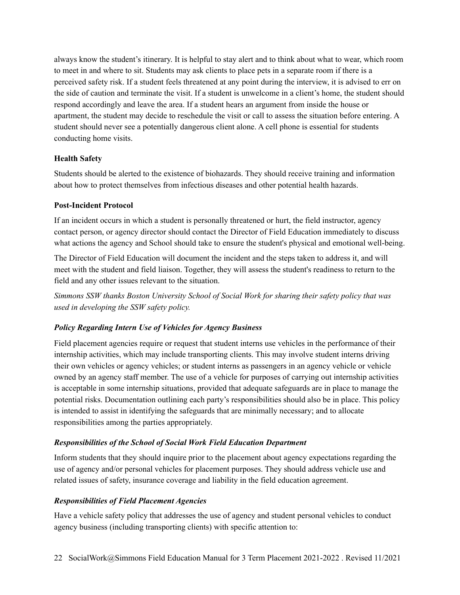always know the student's itinerary. It is helpful to stay alert and to think about what to wear, which room to meet in and where to sit. Students may ask clients to place pets in a separate room if there is a perceived safety risk. If a student feels threatened at any point during the interview, it is advised to err on the side of caution and terminate the visit. If a student is unwelcome in a client's home, the student should respond accordingly and leave the area. If a student hears an argument from inside the house or apartment, the student may decide to reschedule the visit or call to assess the situation before entering. A student should never see a potentially dangerous client alone. A cell phone is essential for students conducting home visits.

#### <span id="page-21-0"></span>**Health Safety**

 Students should be alerted to the existence of biohazards. They should receive training and information about how to protect themselves from infectious diseases and other potential health hazards.

#### <span id="page-21-1"></span>**Post-Incident Protocol**

 If an incident occurs in which a student is personally threatened or hurt, the field instructor, agency contact person, or agency director should contact the Director of Field Education immediately to discuss what actions the agency and School should take to ensure the student's physical and emotional well-being.

 The Director of Field Education will document the incident and the steps taken to address it, and will meet with the student and field liaison. Together, they will assess the student's readiness to return to the field and any other issues relevant to the situation.

 *Simmons SSW thanks Boston University School of Social Work for sharing their safety policy that was used in developing the SSW safety policy.*

#### <span id="page-21-2"></span> *Policy Regarding Intern Use of Vehicles for Agency Business*

 Field placement agencies require or request that student interns use vehicles in the performance of their internship activities, which may include transporting clients. This may involve student interns driving their own vehicles or agency vehicles; or student interns as passengers in an agency vehicle or vehicle owned by an agency staff member. The use of a vehicle for purposes of carrying out internship activities is acceptable in some internship situations, provided that adequate safeguards are in place to manage the potential risks. Documentation outlining each party's responsibilities should also be in place. This policy is intended to assist in identifying the safeguards that are minimally necessary; and to allocate responsibilities among the parties appropriately.

# <span id="page-21-3"></span> *Responsibilities of the School of Social Work Field Education Department*

 Inform students that they should inquire prior to the placement about agency expectations regarding the use of agency and/or personal vehicles for placement purposes. They should address vehicle use and related issues of safety, insurance coverage and liability in the field education agreement.

# <span id="page-21-4"></span> *Responsibilities of Field Placement Agencies*

 Have a vehicle safety policy that addresses the use of agency and student personal vehicles to conduct agency business (including transporting clients) with specific attention to: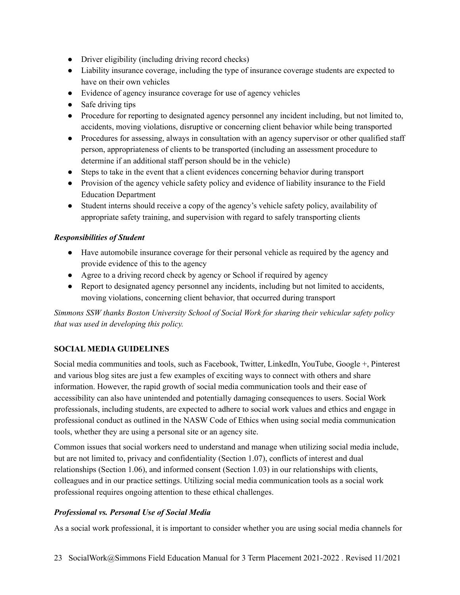- Driver eligibility (including driving record checks)
- ● Liability insurance coverage, including the type of insurance coverage students are expected to have on their own vehicles
- Evidence of agency insurance coverage for use of agency vehicles
- Safe driving tips
- ● Procedure for reporting to designated agency personnel any incident including, but not limited to, accidents, moving violations, disruptive or concerning client behavior while being transported
- ● Procedures for assessing, always in consultation with an agency supervisor or other qualified staff person, appropriateness of clients to be transported (including an assessment procedure to determine if an additional staff person should be in the vehicle)
- Steps to take in the event that a client evidences concerning behavior during transport
- ● Provision of the agency vehicle safety policy and evidence of liability insurance to the Field Education Department
- ● Student interns should receive a copy of the agency's vehicle safety policy, availability of appropriate safety training, and supervision with regard to safely transporting clients

### <span id="page-22-0"></span> *Responsibilities of Student*

- ● Have automobile insurance coverage for their personal vehicle as required by the agency and provide evidence of this to the agency
- Agree to a driving record check by agency or School if required by agency
- ● Report to designated agency personnel any incidents, including but not limited to accidents, moving violations, concerning client behavior, that occurred during transport

 *Simmons SSW thanks Boston University School of Social Work for sharing their vehicular safety policy that was used in developing this policy.*

# <span id="page-22-1"></span> **SOCIAL MEDIA GUIDELINES**

 Social media communities and tools, such as Facebook, Twitter, LinkedIn, YouTube, Google +, Pinterest and various blog sites are just a few examples of exciting ways to connect with others and share information. However, the rapid growth of social media communication tools and their ease of accessibility can also have unintended and potentially damaging consequences to users. Social Work professionals, including students, are expected to adhere to social work values and ethics and engage in professional conduct as outlined in the NASW Code of Ethics when using social media communication tools, whether they are using a personal site or an agency site.

 Common issues that social workers need to understand and manage when utilizing social media include, but are not limited to, privacy and confidentiality (Section 1.07), conflicts of interest and dual relationships (Section 1.06), and informed consent (Section 1.03) in our relationships with clients, colleagues and in our practice settings. Utilizing social media communication tools as a social work professional requires ongoing attention to these ethical challenges.

# <span id="page-22-2"></span> *Professional vs. Personal Use of Social Media*

As a social work professional, it is important to consider whether you are using social media channels for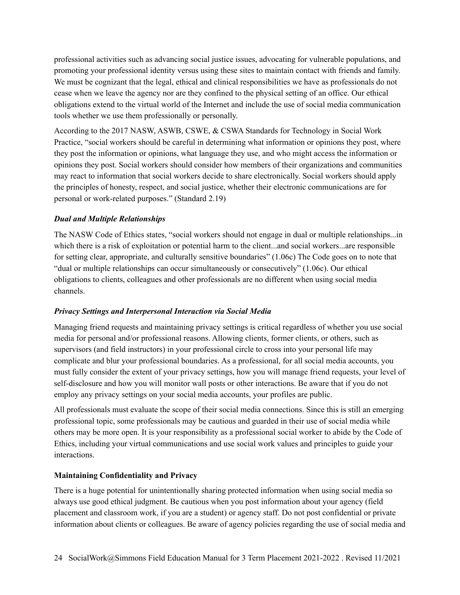professional activities such as advancing social justice issues, advocating for vulnerable populations, and promoting your professional identity versus using these sites to maintain contact with friends and family. We must be cognizant that the legal, ethical and clinical responsibilities we have as professionals do not cease when we leave the agency nor are they confined to the physical setting of an office. Our ethical obligations extend to the virtual world of the Internet and include the use of social media communication tools whether we use them professionally or personally.

 According to the 2017 NASW, ASWB, CSWE, & CSWA Standards for Technology in Social Work Practice, "social workers should be careful in determining what information or opinions they post, where they post the information or opinions, what language they use, and who might access the information or opinions they post. Social workers should consider how members of their organizations and communities may react to information that social workers decide to share electronically. Social workers should apply the principles of honesty, respect, and social justice, whether their electronic communications are for personal or work-related purposes." (Standard 2.19)

# <span id="page-23-0"></span> *Dual and Multiple Relationships*

 The NASW Code of Ethics states, "social workers should not engage in dual or multiple relationships...in which there is a risk of exploitation or potential harm to the client...and social workers...are responsible for setting clear, appropriate, and culturally sensitive boundaries" (1.06c) The Code goes on to note that "dual or multiple relationships can occur simultaneously or consecutively" (1.06c). Our ethical obligations to clients, colleagues and other professionals are no different when using social media channels.

# <span id="page-23-1"></span> *Privacy Settings and Interpersonal Interaction via Social Media*

 Managing friend requests and maintaining privacy settings is critical regardless of whether you use social media for personal and/or professional reasons. Allowing clients, former clients, or others, such as supervisors (and field instructors) in your professional circle to cross into your personal life may complicate and blur your professional boundaries. As a professional, for all social media accounts, you must fully consider the extent of your privacy settings, how you will manage friend requests, your level of self-disclosure and how you will monitor wall posts or other interactions. Be aware that if you do not employ any privacy settings on your social media accounts, your profiles are public.

 All professionals must evaluate the scope of their social media connections. Since this is still an emerging professional topic, some professionals may be cautious and guarded in their use of social media while others may be more open. It is your responsibility as a professional social worker to abide by the Code of Ethics, including your virtual communications and use social work values and principles to guide your interactions.

#### <span id="page-23-2"></span> **Maintaining Confidentiality and Privacy**

 There is a huge potential for unintentionally sharing protected information when using social media so always use good ethical judgment. Be cautious when you post information about your agency (field placement and classroom work, if you are a student) or agency staff. Do not post confidential or private information about clients or colleagues. Be aware of agency policies regarding the use of social media and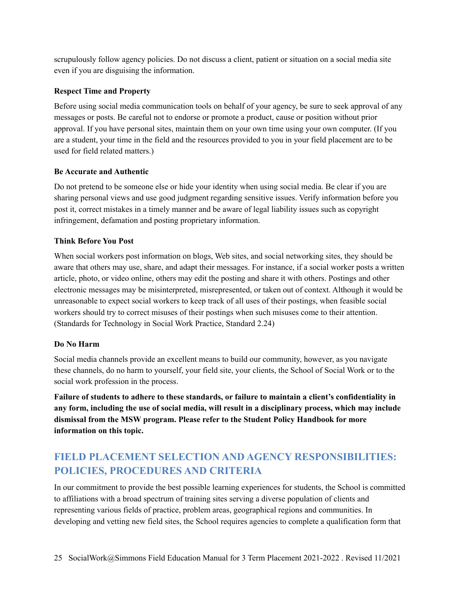scrupulously follow agency policies. Do not discuss a client, patient or situation on a social media site even if you are disguising the information.

#### <span id="page-24-0"></span> **Respect Time and Property**

 Before using social media communication tools on behalf of your agency, be sure to seek approval of any messages or posts. Be careful not to endorse or promote a product, cause or position without prior approval. If you have personal sites, maintain them on your own time using your own computer. (If you are a student, your time in the field and the resources provided to you in your field placement are to be used for field related matters.)

# <span id="page-24-1"></span> **Be Accurate and Authentic**

 Do not pretend to be someone else or hide your identity when using social media. Be clear if you are sharing personal views and use good judgment regarding sensitive issues. Verify information before you post it, correct mistakes in a timely manner and be aware of legal liability issues such as copyright infringement, defamation and posting proprietary information.

# <span id="page-24-2"></span> **Think Before You Post**

 When social workers post information on blogs, Web sites, and social networking sites, they should be aware that others may use, share, and adapt their messages. For instance, if a social worker posts a written article, photo, or video online, others may edit the posting and share it with others. Postings and other electronic messages may be misinterpreted, misrepresented, or taken out of context. Although it would be unreasonable to expect social workers to keep track of all uses of their postings, when feasible social workers should try to correct misuses of their postings when such misuses come to their attention. (Standards for Technology in Social Work Practice, Standard 2.24)

#### <span id="page-24-3"></span> **Do No Harm**

 Social media channels provide an excellent means to build our community, however, as you navigate these channels, do no harm to yourself, your field site, your clients, the School of Social Work or to the social work profession in the process.

 **Failure of students to adhere to these standards, or failure to maintain a client's confidentiality in** any form, including the use of social media, will result in a disciplinary process, which may include  **dismissal from the MSW program. Please refer to the Student Policy Handbook for more information on this topic.**

# <span id="page-24-4"></span> **FIELD PLACEMENT SELECTION AND AGENCY RESPONSIBILITIES: POLICIES, PROCEDURES AND CRITERIA**

 In our commitment to provide the best possible learning experiences for students, the School is committed to affiliations with a broad spectrum of training sites serving a diverse population of clients and representing various fields of practice, problem areas, geographical regions and communities. In developing and vetting new field sites, the School requires agencies to complete a qualification form that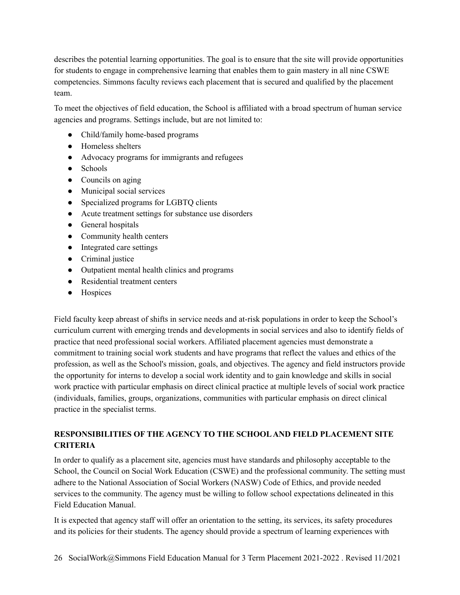describes the potential learning opportunities. The goal is to ensure that the site will provide opportunities for students to engage in comprehensive learning that enables them to gain mastery in all nine CSWE competencies. Simmons faculty reviews each placement that is secured and qualified by the placement team.

 To meet the objectives of field education, the School is affiliated with a broad spectrum of human service agencies and programs. Settings include, but are not limited to:

- Child/family home-based programs
- Homeless shelters
- Advocacy programs for immigrants and refugees
- Schools
- Councils on aging
- Municipal social services
- Specialized programs for LGBTQ clients
- Acute treatment settings for substance use disorders
- General hospitals
- Community health centers
- Integrated care settings
- Criminal justice
- Outpatient mental health clinics and programs
- Residential treatment centers
- Hospices

 Field faculty keep abreast of shifts in service needs and at-risk populations in order to keep the School's curriculum current with emerging trends and developments in social services and also to identify fields of practice that need professional social workers. Affiliated placement agencies must demonstrate a commitment to training social work students and have programs that reflect the values and ethics of the profession, as well as the School's mission, goals, and objectives. The agency and field instructors provide the opportunity for interns to develop a social work identity and to gain knowledge and skills in social work practice with particular emphasis on direct clinical practice at multiple levels of social work practice (individuals, families, groups, organizations, communities with particular emphasis on direct clinical practice in the specialist terms.

# <span id="page-25-0"></span> **RESPONSIBILITIES OF THE AGENCY TO THE SCHOOLAND FIELD PLACEMENT SITE CRITERIA**

 In order to qualify as a placement site, agencies must have standards and philosophy acceptable to the School, the Council on Social Work Education (CSWE) and the professional community. The setting must adhere to the National Association of Social Workers (NASW) Code of Ethics, and provide needed services to the community. The agency must be willing to follow school expectations delineated in this Field Education Manual.

 It is expected that agency staff will offer an orientation to the setting, its services, its safety procedures and its policies for their students. The agency should provide a spectrum of learning experiences with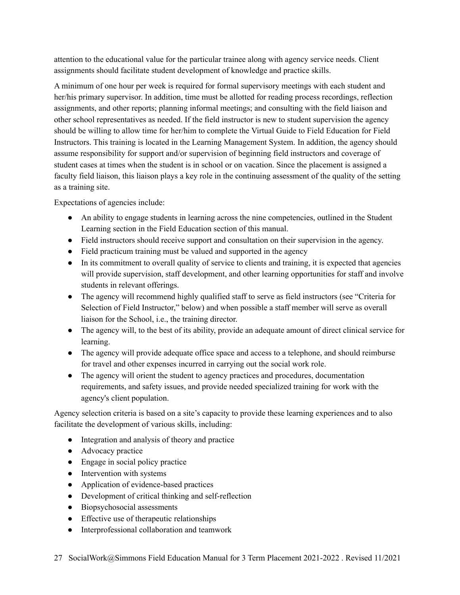attention to the educational value for the particular trainee along with agency service needs. Client assignments should facilitate student development of knowledge and practice skills.

 A minimum of one hour per week is required for formal supervisory meetings with each student and her/his primary supervisor. In addition, time must be allotted for reading process recordings, reflection assignments, and other reports; planning informal meetings; and consulting with the field liaison and other school representatives as needed. If the field instructor is new to student supervision the agency should be willing to allow time for her/him to complete the Virtual Guide to Field Education for Field Instructors. This training is located in the Learning Management System. In addition, the agency should assume responsibility for support and/or supervision of beginning field instructors and coverage of student cases at times when the student is in school or on vacation. Since the placement is assigned a faculty field liaison, this liaison plays a key role in the continuing assessment of the quality of the setting as a training site.

Expectations of agencies include:

- ● An ability to engage students in learning across the nine competencies, outlined in the Student Learning section in the Field Education section of this manual.
- Field instructors should receive support and consultation on their supervision in the agency.
- Field practicum training must be valued and supported in the agency
- ● In its commitment to overall quality of service to clients and training, it is expected that agencies will provide supervision, staff development, and other learning opportunities for staff and involve students in relevant offerings.
- ● The agency will recommend highly qualified staff to serve as field instructors (see "Criteria for Selection of Field Instructor," below) and when possible a staff member will serve as overall liaison for the School, i.e., the training director.
- ● The agency will, to the best of its ability, provide an adequate amount of direct clinical service for learning.
- ● The agency will provide adequate office space and access to a telephone, and should reimburse for travel and other expenses incurred in carrying out the social work role.
- ● The agency will orient the student to agency practices and procedures, documentation requirements, and safety issues, and provide needed specialized training for work with the agency's client population.

 Agency selection criteria is based on a site's capacity to provide these learning experiences and to also facilitate the development of various skills, including:

- Integration and analysis of theory and practice
- Advocacy practice
- Engage in social policy practice
- Intervention with systems
- Application of evidence-based practices
- Development of critical thinking and self-reflection
- Biopsychosocial assessments
- Effective use of therapeutic relationships
- Interprofessional collaboration and teamwork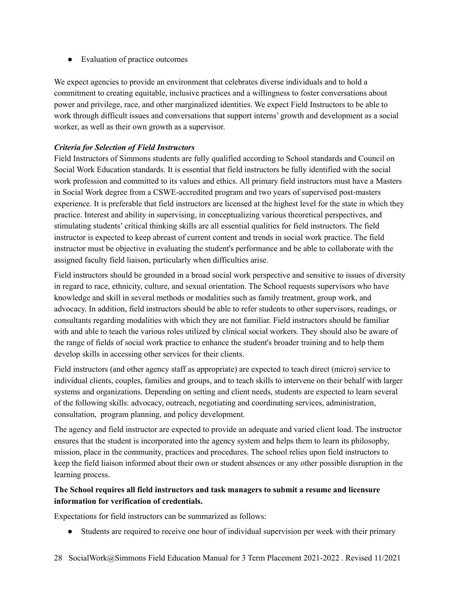● Evaluation of practice outcomes

 We expect agencies to provide an environment that celebrates diverse individuals and to hold a commitment to creating equitable, inclusive practices and a willingness to foster conversations about power and privilege, race, and other marginalized identities. We expect Field Instructors to be able to work through difficult issues and conversations that support interns' growth and development as a social worker, as well as their own growth as a supervisor.

# <span id="page-27-0"></span> *Criteria for Selection of Field Instructors*

 Field Instructors of Simmons students are fully qualified according to School standards and Council on Social Work Education standards. It is essential that field instructors be fully identified with the social work profession and committed to its values and ethics. All primary field instructors must have a Masters in Social Work degree from a CSWE-accredited program and two years of supervised post-masters experience. It is preferable that field instructors are licensed at the highest level for the state in which they practice. Interest and ability in supervising, in conceptualizing various theoretical perspectives, and stimulating students' critical thinking skills are all essential qualities for field instructors. The field instructor is expected to keep abreast of current content and trends in social work practice. The field instructor must be objective in evaluating the student's performance and be able to collaborate with the assigned faculty field liaison, particularly when difficulties arise.

 Field instructors should be grounded in a broad social work perspective and sensitive to issues of diversity in regard to race, ethnicity, culture, and sexual orientation. The School requests supervisors who have knowledge and skill in several methods or modalities such as family treatment, group work, and advocacy. In addition, field instructors should be able to refer students to other supervisors, readings, or consultants regarding modalities with which they are not familiar. Field instructors should be familiar with and able to teach the various roles utilized by clinical social workers. They should also be aware of the range of fields of social work practice to enhance the student's broader training and to help them develop skills in accessing other services for their clients.

 Field instructors (and other agency staff as appropriate) are expected to teach direct (micro) service to individual clients, couples, families and groups, and to teach skills to intervene on their behalf with larger systems and organizations. Depending on setting and client needs, students are expected to learn several of the following skills: advocacy, outreach, negotiating and coordinating services, administration, consultation, program planning, and policy development.

 The agency and field instructor are expected to provide an adequate and varied client load. The instructor ensures that the student is incorporated into the agency system and helps them to learn its philosophy, mission, place in the community, practices and procedures. The school relies upon field instructors to keep the field liaison informed about their own or student absences or any other possible disruption in the learning process.

# **The School requires all field instructors and task managers to submit a resume and licensure information for verification of credentials.**

Expectations for field instructors can be summarized as follows:

● Students are required to receive one hour of individual supervision per week with their primary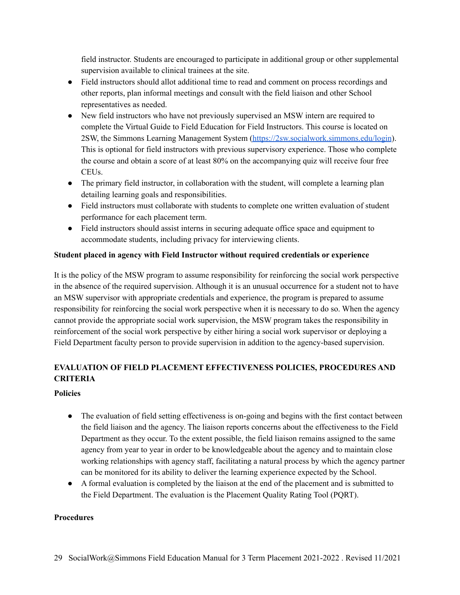field instructor. Students are encouraged to participate in additional group or other supplemental supervision available to clinical trainees at the site.

- ● Field instructors should allot additional time to read and comment on process recordings and other reports, plan informal meetings and consult with the field liaison and other School representatives as needed.
- ● New field instructors who have not previously supervised an MSW intern are required to complete the Virtual Guide to Field Education for Field Instructors. This course is located on 2SW, the Simmons Learning Management System [\(https://2sw.socialwork.simmons.edu/login](https://2sw.socialwork.simmons.edu/login)). This is optional for field instructors with previous supervisory experience. Those who complete the course and obtain a score of at least 80% on the accompanying quiz will receive four free CEUs.
- ● The primary field instructor, in collaboration with the student, will complete a learning plan detailing learning goals and responsibilities.
- ● Field instructors must collaborate with students to complete one written evaluation of student performance for each placement term.
- accommodate students, including privacy for interviewing clients. ● Field instructors should assist interns in securing adequate office space and equipment to

# **Student placed in agency with Field Instructor without required credentials or experience**

 It is the policy of the MSW program to assume responsibility for reinforcing the social work perspective in the absence of the required supervision. Although it is an unusual occurrence for a student not to have an MSW supervisor with appropriate credentials and experience, the program is prepared to assume responsibility for reinforcing the social work perspective when it is necessary to do so. When the agency cannot provide the appropriate social work supervision, the MSW program takes the responsibility in reinforcement of the social work perspective by either hiring a social work supervisor or deploying a Field Department faculty person to provide supervision in addition to the agency-based supervision.

# <span id="page-28-0"></span> **EVALUATION OF FIELD PLACEMENT EFFECTIVENESS POLICIES, PROCEDURES AND CRITERIA**

# **Policies**

- ● The evaluation of field setting effectiveness is on-going and begins with the first contact between the field liaison and the agency. The liaison reports concerns about the effectiveness to the Field Department as they occur. To the extent possible, the field liaison remains assigned to the same agency from year to year in order to be knowledgeable about the agency and to maintain close working relationships with agency staff, facilitating a natural process by which the agency partner can be monitored for its ability to deliver the learning experience expected by the School.
- ● A formal evaluation is completed by the liaison at the end of the placement and is submitted to the Field Department. The evaluation is the Placement Quality Rating Tool (PQRT).

#### **Procedures**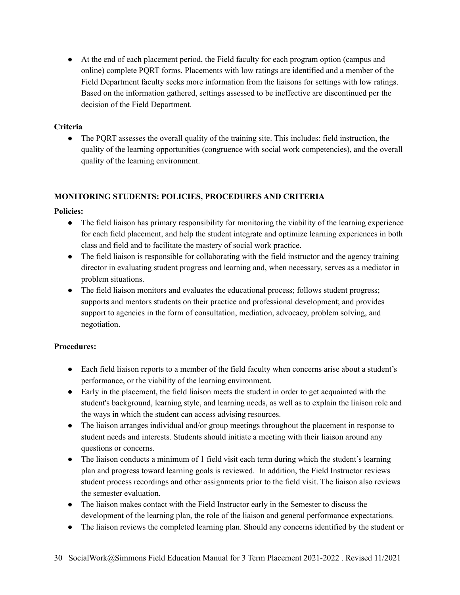● At the end of each placement period, the Field faculty for each program option (campus and online) complete PQRT forms. Placements with low ratings are identified and a member of the Field Department faculty seeks more information from the liaisons for settings with low ratings. Based on the information gathered, settings assessed to be ineffective are discontinued per the decision of the Field Department.

#### **Criteria**

 ● The PQRT assesses the overall quality of the training site. This includes: field instruction, the quality of the learning opportunities (congruence with social work competencies), and the overall quality of the learning environment.

#### <span id="page-29-0"></span> **MONITORING STUDENTS: POLICIES, PROCEDURES AND CRITERIA**

#### **Policies:**

- ● The field liaison has primary responsibility for monitoring the viability of the learning experience for each field placement, and help the student integrate and optimize learning experiences in both class and field and to facilitate the mastery of social work practice.
- ● The field liaison is responsible for collaborating with the field instructor and the agency training director in evaluating student progress and learning and, when necessary, serves as a mediator in problem situations.
- ● The field liaison monitors and evaluates the educational process; follows student progress; supports and mentors students on their practice and professional development; and provides support to agencies in the form of consultation, mediation, advocacy, problem solving, and negotiation.

#### **Procedures:**

- ● Each field liaison reports to a member of the field faculty when concerns arise about a student's performance, or the viability of the learning environment.
- ● Early in the placement, the field liaison meets the student in order to get acquainted with the student's background, learning style, and learning needs, as well as to explain the liaison role and the ways in which the student can access advising resources.
- ● The liaison arranges individual and/or group meetings throughout the placement in response to student needs and interests. Students should initiate a meeting with their liaison around any questions or concerns.
- ● The liaison conducts a minimum of 1 field visit each term during which the student's learning plan and progress toward learning goals is reviewed. In addition, the Field Instructor reviews student process recordings and other assignments prior to the field visit. The liaison also reviews the semester evaluation.
- ● The liaison makes contact with the Field Instructor early in the Semester to discuss the development of the learning plan, the role of the liaison and general performance expectations.
- The liaison reviews the completed learning plan. Should any concerns identified by the student or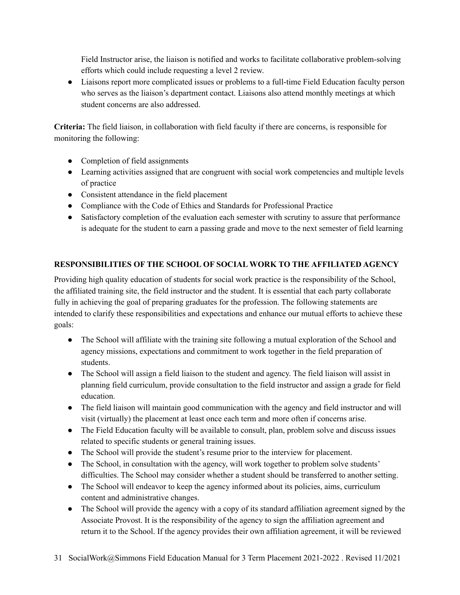Field Instructor arise, the liaison is notified and works to facilitate collaborative problem-solving efforts which could include requesting a level 2 review.

 ● Liaisons report more complicated issues or problems to a full-time Field Education faculty person who serves as the liaison's department contact. Liaisons also attend monthly meetings at which student concerns are also addressed.

 **Criteria:** The field liaison, in collaboration with field faculty if there are concerns, is responsible for monitoring the following:

- Completion of field assignments
- ● Learning activities assigned that are congruent with social work competencies and multiple levels of practice
- Consistent attendance in the field placement
- Compliance with the Code of Ethics and Standards for Professional Practice
- Satisfactory completion of the evaluation each semester with scrutiny to assure that performance is adequate for the student to earn a passing grade and move to the next semester of field learning

# <span id="page-30-0"></span> **RESPONSIBILITIES OF THE SCHOOL OF SOCIAL WORK TO THE AFFILIATED AGENCY**

 Providing high quality education of students for social work practice is the responsibility of the School, the affiliated training site, the field instructor and the student. It is essential that each party collaborate fully in achieving the goal of preparing graduates for the profession. The following statements are intended to clarify these responsibilities and expectations and enhance our mutual efforts to achieve these goals:

- ● The School will affiliate with the training site following a mutual exploration of the School and agency missions, expectations and commitment to work together in the field preparation of students.
- ● The School will assign a field liaison to the student and agency. The field liaison will assist in planning field curriculum, provide consultation to the field instructor and assign a grade for field education.
- ● The field liaison will maintain good communication with the agency and field instructor and will visit (virtually) the placement at least once each term and more often if concerns arise.
- ● The Field Education faculty will be available to consult, plan, problem solve and discuss issues related to specific students or general training issues.
- The School will provide the student's resume prior to the interview for placement.
- ● The School, in consultation with the agency, will work together to problem solve students' difficulties. The School may consider whether a student should be transferred to another setting.
- content and administrative changes. • The School will endeavor to keep the agency informed about its policies, aims, curriculum
- ● The School will provide the agency with a copy of its standard affiliation agreement signed by the Associate Provost. It is the responsibility of the agency to sign the affiliation agreement and return it to the School. If the agency provides their own affiliation agreement, it will be reviewed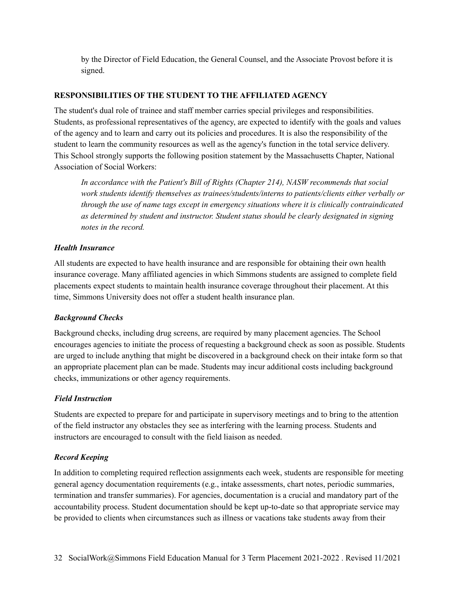by the Director of Field Education, the General Counsel, and the Associate Provost before it is signed.

## <span id="page-31-0"></span> **RESPONSIBILITIES OF THE STUDENT TO THE AFFILIATED AGENCY**

 The student's dual role of trainee and staff member carries special privileges and responsibilities. Students, as professional representatives of the agency, are expected to identify with the goals and values of the agency and to learn and carry out its policies and procedures. It is also the responsibility of the student to learn the community resources as well as the agency's function in the total service delivery. This School strongly supports the following position statement by the Massachusetts Chapter, National Association of Social Workers:

 *In accordance with the Patient's Bill of Rights (Chapter 214), NASW recommends that social work students identify themselves as trainees/students/interns to patients/clients either verbally or through the use of name tags except in emergency situations where it is clinically contraindicated as determined by student and instructor. Student status should be clearly designated in signing notes in the record.*

#### <span id="page-31-1"></span>*Health Insurance*

 All students are expected to have health insurance and are responsible for obtaining their own health insurance coverage. Many affiliated agencies in which Simmons students are assigned to complete field placements expect students to maintain health insurance coverage throughout their placement. At this time, Simmons University does not offer a student health insurance plan.

#### <span id="page-31-2"></span>*Background Checks*

 Background checks, including drug screens, are required by many placement agencies. The School encourages agencies to initiate the process of requesting a background check as soon as possible. Students are urged to include anything that might be discovered in a background check on their intake form so that an appropriate placement plan can be made. Students may incur additional costs including background checks, immunizations or other agency requirements.

#### <span id="page-31-3"></span>*Field Instruction*

 Students are expected to prepare for and participate in supervisory meetings and to bring to the attention of the field instructor any obstacles they see as interfering with the learning process. Students and instructors are encouraged to consult with the field liaison as needed.

#### <span id="page-31-4"></span>*Record Keeping*

 In addition to completing required reflection assignments each week, students are responsible for meeting general agency documentation requirements (e.g., intake assessments, chart notes, periodic summaries, termination and transfer summaries). For agencies, documentation is a crucial and mandatory part of the accountability process. Student documentation should be kept up-to-date so that appropriate service may be provided to clients when circumstances such as illness or vacations take students away from their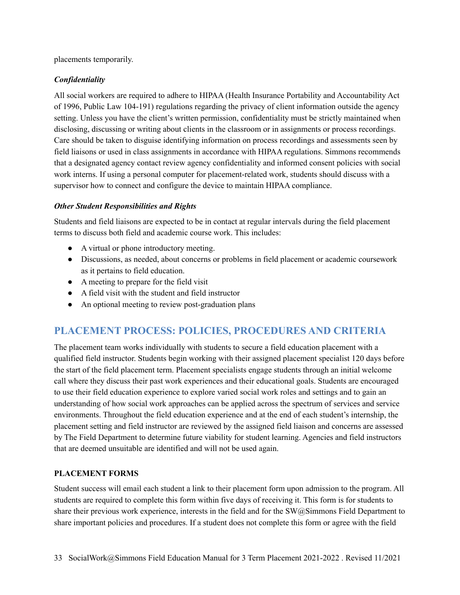placements temporarily.

# <span id="page-32-0"></span>*Confidentiality*

 All social workers are required to adhere to HIPAA (Health Insurance Portability and Accountability Act of 1996, Public Law 104-191) regulations regarding the privacy of client information outside the agency setting. Unless you have the client's written permission, confidentiality must be strictly maintained when disclosing, discussing or writing about clients in the classroom or in assignments or process recordings. Care should be taken to disguise identifying information on process recordings and assessments seen by field liaisons or used in class assignments in accordance with HIPAA regulations. Simmons recommends that a designated agency contact review agency confidentiality and informed consent policies with social work interns. If using a personal computer for placement-related work, students should discuss with a supervisor how to connect and configure the device to maintain HIPAA compliance.

#### <span id="page-32-1"></span> *Other Student Responsibilities and Rights*

 Students and field liaisons are expected to be in contact at regular intervals during the field placement terms to discuss both field and academic course work. This includes:

- A virtual or phone introductory meeting.
- ● Discussions, as needed, about concerns or problems in field placement or academic coursework as it pertains to field education.
- A meeting to prepare for the field visit
- A field visit with the student and field instructor
- An optional meeting to review post-graduation plans

# <span id="page-32-2"></span> **PLACEMENT PROCESS: POLICIES, PROCEDURES AND CRITERIA**

 The placement team works individually with students to secure a field education placement with a qualified field instructor. Students begin working with their assigned placement specialist 120 days before the start of the field placement term. Placement specialists engage students through an initial welcome call where they discuss their past work experiences and their educational goals. Students are encouraged to use their field education experience to explore varied social work roles and settings and to gain an understanding of how social work approaches can be applied across the spectrum of services and service environments. Throughout the field education experience and at the end of each student's internship, the placement setting and field instructor are reviewed by the assigned field liaison and concerns are assessed by The Field Department to determine future viability for student learning. Agencies and field instructors that are deemed unsuitable are identified and will not be used again.

#### <span id="page-32-3"></span>**PLACEMENT FORMS**

 Student success will email each student a link to their placement form upon admission to the program. All students are required to complete this form within five days of receiving it. This form is for students to share their previous work experience, interests in the field and for the SW@Simmons Field Department to share important policies and procedures. If a student does not complete this form or agree with the field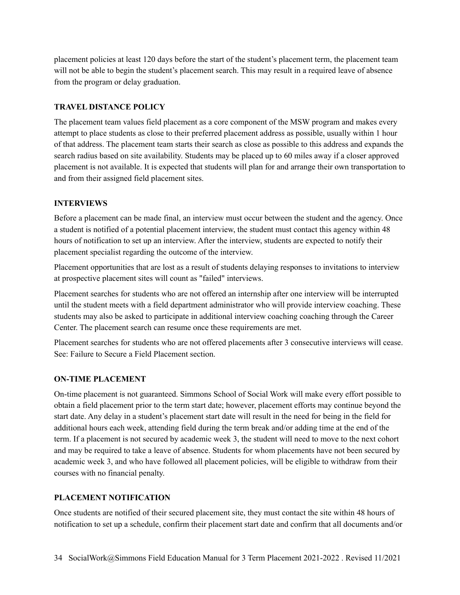placement policies at least 120 days before the start of the student's placement term, the placement team will not be able to begin the student's placement search. This may result in a required leave of absence from the program or delay graduation.

#### <span id="page-33-0"></span>**TRAVEL DISTANCE POLICY**

 The placement team values field placement as a core component of the MSW program and makes every attempt to place students as close to their preferred placement address as possible, usually within 1 hour of that address. The placement team starts their search as close as possible to this address and expands the search radius based on site availability. Students may be placed up to 60 miles away if a closer approved placement is not available. It is expected that students will plan for and arrange their own transportation to and from their assigned field placement sites.

#### <span id="page-33-1"></span>**INTERVIEWS**

 Before a placement can be made final, an interview must occur between the student and the agency. Once a student is notified of a potential placement interview, the student must contact this agency within 48 hours of notification to set up an interview. After the interview, students are expected to notify their placement specialist regarding the outcome of the interview.

 Placement opportunities that are lost as a result of students delaying responses to invitations to interview at prospective placement sites will count as "failed" interviews.

 Placement searches for students who are not offered an internship after one interview will be interrupted until the student meets with a field department administrator who will provide interview coaching. These students may also be asked to participate in additional interview coaching coaching through the Career Center. The placement search can resume once these requirements are met.

 Placement searches for students who are not offered placements after 3 consecutive interviews will cease. See: Failure to Secure a Field Placement section.

#### <span id="page-33-2"></span>**ON-TIME PLACEMENT**

 On-time placement is not guaranteed. Simmons School of Social Work will make every effort possible to obtain a field placement prior to the term start date; however, placement efforts may continue beyond the start date. Any delay in a student's placement start date will result in the need for being in the field for additional hours each week, attending field during the term break and/or adding time at the end of the term. If a placement is not secured by academic week 3, the student will need to move to the next cohort and may be required to take a leave of absence. Students for whom placements have not been secured by academic week 3, and who have followed all placement policies, will be eligible to withdraw from their courses with no financial penalty.

#### <span id="page-33-3"></span>**PLACEMENT NOTIFICATION**

 Once students are notified of their secured placement site, they must contact the site within 48 hours of notification to set up a schedule, confirm their placement start date and confirm that all documents and/or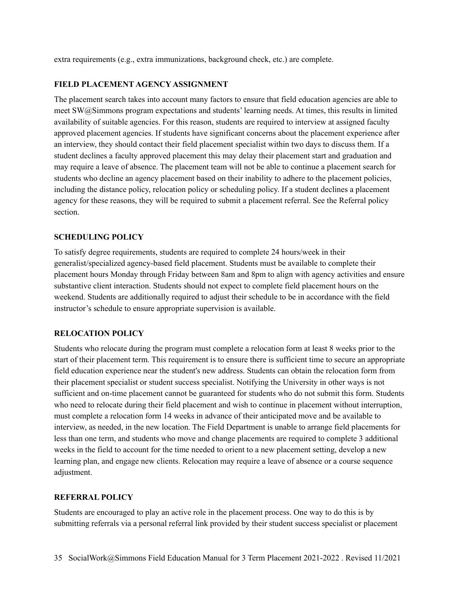extra requirements (e.g., extra immunizations, background check, etc.) are complete.

#### <span id="page-34-0"></span> **FIELD PLACEMENT AGENCY ASSIGNMENT**

 The placement search takes into account many factors to ensure that field education agencies are able to meet SW@Simmons program expectations and students' learning needs. At times, this results in limited availability of suitable agencies. For this reason, students are required to interview at assigned faculty approved placement agencies. If students have significant concerns about the placement experience after an interview, they should contact their field placement specialist within two days to discuss them. If a student declines a faculty approved placement this may delay their placement start and graduation and may require a leave of absence. The placement team will not be able to continue a placement search for students who decline an agency placement based on their inability to adhere to the placement policies, including the distance policy, relocation policy or scheduling policy. If a student declines a placement agency for these reasons, they will be required to submit a placement referral. See the Referral policy section.

#### <span id="page-34-1"></span>**SCHEDULING POLICY**

 To satisfy degree requirements, students are required to complete 24 hours/week in their generalist/specialized agency-based field placement. Students must be available to complete their placement hours Monday through Friday between 8am and 8pm to align with agency activities and ensure substantive client interaction. Students should not expect to complete field placement hours on the weekend. Students are additionally required to adjust their schedule to be in accordance with the field instructor's schedule to ensure appropriate supervision is available.

#### <span id="page-34-2"></span>**RELOCATION POLICY**

 Students who relocate during the program must complete a relocation form at least 8 weeks prior to the start of their placement term. This requirement is to ensure there is sufficient time to secure an appropriate field education experience near the student's new address. Students can obtain the relocation form from sufficient and on-time placement cannot be guaranteed for students who do not submit this form. Students who need to relocate during their field placement and wish to continue in placement without interruption, must complete a relocation form 14 weeks in advance of their anticipated move and be available to interview, as needed, in the new location. The Field Department is unable to arrange field placements for less than one term, and students who move and change placements are required to complete 3 additional weeks in the field to account for the time needed to orient to a new placement setting, develop a new learning plan, and engage new clients. Relocation may require a leave of absence or a course sequence their placement specialist or student success specialist. Notifying the University in other ways is not adjustment.

#### <span id="page-34-3"></span>**REFERRAL POLICY**

 Students are encouraged to play an active role in the placement process. One way to do this is by submitting referrals via a personal referral link provided by their student success specialist or placement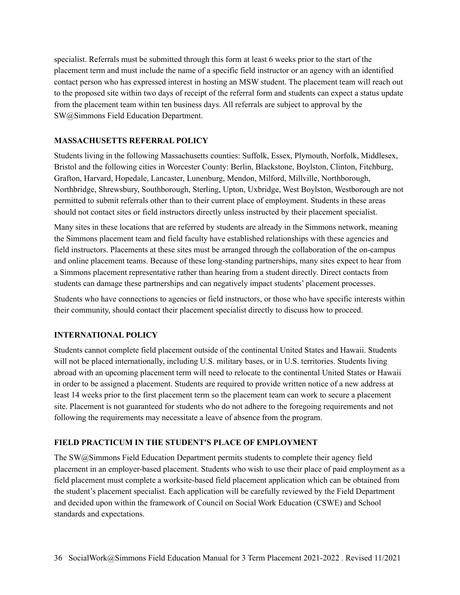specialist. Referrals must be submitted through this form at least 6 weeks prior to the start of the placement term and must include the name of a specific field instructor or an agency with an identified contact person who has expressed interest in hosting an MSW student. The placement team will reach out to the proposed site within two days of receipt of the referral form and students can expect a status update from the placement team within ten business days. All referrals are subject to approval by the SW@Simmons Field Education Department.

# <span id="page-35-0"></span>**MASSACHUSETTS REFERRAL POLICY**

 Students living in the following Massachusetts counties: Suffolk, Essex, Plymouth, Norfolk, Middlesex, Bristol and the following cities in Worcester County: Berlin, Blackstone, Boylston, Clinton, Fitchburg, Grafton, Harvard, Hopedale, Lancaster, Lunenburg, Mendon, Milford, Millville, Northborough, Northbridge, Shrewsbury, Southborough, Sterling, Upton, Uxbridge, West Boylston, Westborough are not permitted to submit referrals other than to their current place of employment. Students in these areas should not contact sites or field instructors directly unless instructed by their placement specialist.

 Many sites in these locations that are referred by students are already in the Simmons network, meaning the Simmons placement team and field faculty have established relationships with these agencies and field instructors. Placements at these sites must be arranged through the collaboration of the on-campus and online placement teams. Because of these long-standing partnerships, many sites expect to hear from a Simmons placement representative rather than hearing from a student directly. Direct contacts from students can damage these partnerships and can negatively impact students' placement processes.

 Students who have connections to agencies or field instructors, or those who have specific interests within their community, should contact their placement specialist directly to discuss how to proceed.

#### <span id="page-35-1"></span>**INTERNATIONAL POLICY**

 Students cannot complete field placement outside of the continental United States and Hawaii. Students will not be placed internationally, including U.S. military bases, or in U.S. territories. Students living abroad with an upcoming placement term will need to relocate to the continental United States or Hawaii in order to be assigned a placement. Students are required to provide written notice of a new address at least 14 weeks prior to the first placement term so the placement team can work to secure a placement site. Placement is not guaranteed for students who do not adhere to the foregoing requirements and not following the requirements may necessitate a leave of absence from the program.

### <span id="page-35-2"></span> **FIELD PRACTICUM IN THE STUDENT'S PLACE OF EMPLOYMENT**

 The SW@Simmons Field Education Department permits students to complete their agency field placement in an employer-based placement. Students who wish to use their place of paid employment as a field placement must complete a worksite-based field placement application which can be obtained from the student's placement specialist. Each application will be carefully reviewed by the Field Department and decided upon within the framework of Council on Social Work Education (CSWE) and School standards and expectations.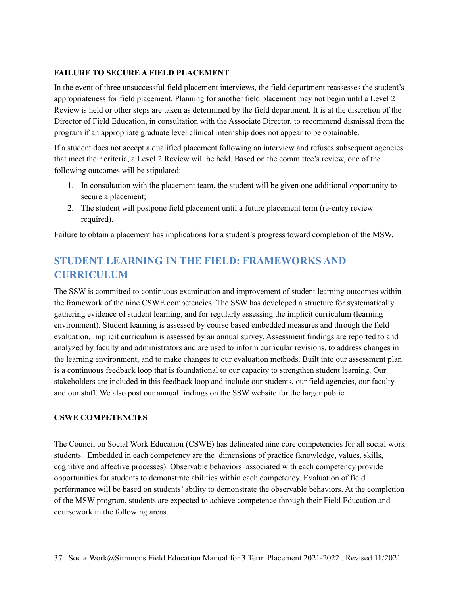#### <span id="page-36-0"></span> **FAILURE TO SECURE A FIELD PLACEMENT**

 In the event of three unsuccessful field placement interviews, the field department reassesses the student's appropriateness for field placement. Planning for another field placement may not begin until a Level 2 Review is held or other steps are taken as determined by the field department. It is at the discretion of the Director of Field Education, in consultation with the Associate Director, to recommend dismissal from the program if an appropriate graduate level clinical internship does not appear to be obtainable.

 If a student does not accept a qualified placement following an interview and refuses subsequent agencies that meet their criteria, a Level 2 Review will be held. Based on the committee's review, one of the following outcomes will be stipulated:

- 1. In consultation with the placement team, the student will be given one additional opportunity to secure a placement;
- 2. The student will postpone field placement until a future placement term (re-entry review required).

Failure to obtain a placement has implications for a student's progress toward completion of the MSW.

# <span id="page-36-1"></span> **STUDENT LEARNING IN THE FIELD: FRAMEWORKS AND CURRICULUM**

 The SSW is committed to continuous examination and improvement of student learning outcomes within the framework of the nine CSWE competencies. The SSW has developed a structure for systematically gathering evidence of student learning, and for regularly assessing the implicit curriculum (learning environment). Student learning is assessed by course based embedded measures and through the field evaluation. Implicit curriculum is assessed by an annual survey. Assessment findings are reported to and analyzed by faculty and administrators and are used to inform curricular revisions, to address changes in the learning environment, and to make changes to our evaluation methods. Built into our assessment plan is a continuous feedback loop that is foundational to our capacity to strengthen student learning. Our stakeholders are included in this feedback loop and include our students, our field agencies, our faculty and our staff. We also post our annual findings on the SSW website for the larger public.

#### <span id="page-36-2"></span>**CSWE COMPETENCIES**

 The Council on Social Work Education (CSWE) has delineated nine core competencies for all social work students. Embedded in each competency are the dimensions of practice (knowledge, values, skills, cognitive and affective processes). Observable behaviors associated with each competency provide opportunities for students to demonstrate abilities within each competency. Evaluation of field performance will be based on students' ability to demonstrate the observable behaviors. At the completion of the MSW program, students are expected to achieve competence through their Field Education and coursework in the following areas.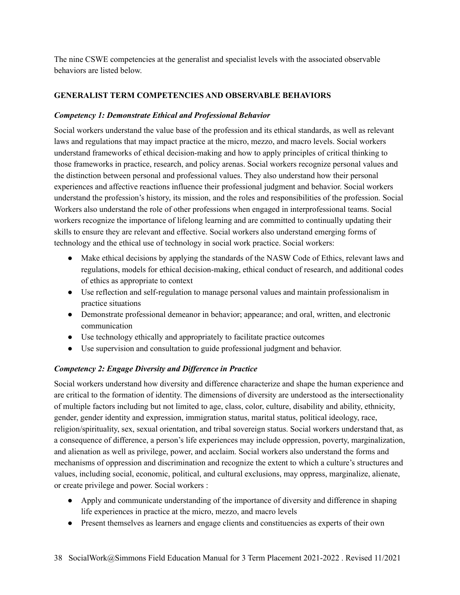The nine CSWE competencies at the generalist and specialist levels with the associated observable behaviors are listed below.

# <span id="page-37-0"></span> **GENERALIST TERM COMPETENCIES AND OBSERVABLE BEHAVIORS**

#### <span id="page-37-1"></span> *Competency 1: Demonstrate Ethical and Professional Behavior*

 Social workers understand the value base of the profession and its ethical standards, as well as relevant laws and regulations that may impact practice at the micro, mezzo, and macro levels. Social workers understand frameworks of ethical decision-making and how to apply principles of critical thinking to those frameworks in practice, research, and policy arenas. Social workers recognize personal values and the distinction between personal and professional values. They also understand how their personal experiences and affective reactions influence their professional judgment and behavior. Social workers understand the profession's history, its mission, and the roles and responsibilities of the profession. Social Workers also understand the role of other professions when engaged in interprofessional teams. Social workers recognize the importance of lifelong learning and are committed to continually updating their skills to ensure they are relevant and effective. Social workers also understand emerging forms of technology and the ethical use of technology in social work practice. Social workers:

- ● Make ethical decisions by applying the standards of the NASW Code of Ethics, relevant laws and regulations, models for ethical decision-making, ethical conduct of research, and additional codes of ethics as appropriate to context
- ● Use reflection and self-regulation to manage personal values and maintain professionalism in practice situations
- ● Demonstrate professional demeanor in behavior; appearance; and oral, written, and electronic communication
- Use technology ethically and appropriately to facilitate practice outcomes
- Use supervision and consultation to guide professional judgment and behavior.

#### <span id="page-37-2"></span> *Competency 2: Engage Diversity and Difference in Practice*

 Social workers understand how diversity and difference characterize and shape the human experience and are critical to the formation of identity. The dimensions of diversity are understood as the intersectionality of multiple factors including but not limited to age, class, color, culture, disability and ability, ethnicity, gender, gender identity and expression, immigration status, marital status, political ideology, race, religion/spirituality, sex, sexual orientation, and tribal sovereign status. Social workers understand that, as a consequence of difference, a person's life experiences may include oppression, poverty, marginalization, and alienation as well as privilege, power, and acclaim. Social workers also understand the forms and mechanisms of oppression and discrimination and recognize the extent to which a culture's structures and values, including social, economic, political, and cultural exclusions, may oppress, marginalize, alienate, or create privilege and power. Social workers :

- ● Apply and communicate understanding of the importance of diversity and difference in shaping life experiences in practice at the micro, mezzo, and macro levels
- Present themselves as learners and engage clients and constituencies as experts of their own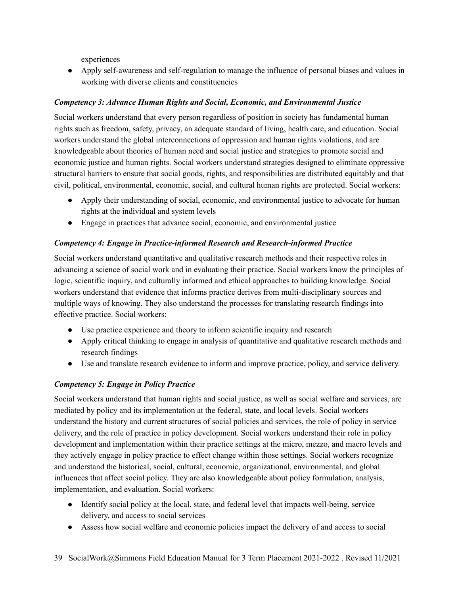experiences

 ● Apply self-awareness and self-regulation to manage the influence of personal biases and values in working with diverse clients and constituencies

# <span id="page-38-0"></span> *Competency 3: Advance Human Rights and Social, Economic, and Environmental Justice*

 Social workers understand that every person regardless of position in society has fundamental human rights such as freedom, safety, privacy, an adequate standard of living, health care, and education. Social workers understand the global interconnections of oppression and human rights violations, and are knowledgeable about theories of human need and social justice and strategies to promote social and economic justice and human rights. Social workers understand strategies designed to eliminate oppressive structural barriers to ensure that social goods, rights, and responsibilities are distributed equitably and that civil, political, environmental, economic, social, and cultural human rights are protected. Social workers:

- ● Apply their understanding of social, economic, and environmental justice to advocate for human rights at the individual and system levels
- Engage in practices that advance social, economic, and environmental justice

# <span id="page-38-1"></span> *Competency 4: Engage in Practice-informed Research and Research-informed Practice*

 Social workers understand quantitative and qualitative research methods and their respective roles in advancing a science of social work and in evaluating their practice. Social workers know the principles of logic, scientific inquiry, and culturally informed and ethical approaches to building knowledge. Social workers understand that evidence that informs practice derives from multi-disciplinary sources and multiple ways of knowing. They also understand the processes for translating research findings into effective practice. Social workers:

- Use practice experience and theory to inform scientific inquiry and research
- ● Apply critical thinking to engage in analysis of quantitative and qualitative research methods and research findings
- Use and translate research evidence to inform and improve practice, policy, and service delivery.

# <span id="page-38-2"></span> *Competency 5: Engage in Policy Practice*

 Social workers understand that human rights and social justice, as well as social welfare and services, are mediated by policy and its implementation at the federal, state, and local levels. Social workers understand the history and current structures of social policies and services, the role of policy in service delivery, and the role of practice in policy development. Social workers understand their role in policy development and implementation within their practice settings at the micro, mezzo, and macro levels and they actively engage in policy practice to effect change within those settings. Social workers recognize and understand the historical, social, cultural, economic, organizational, environmental, and global influences that affect social policy. They are also knowledgeable about policy formulation, analysis, implementation, and evaluation. Social workers:

- ● Identify social policy at the local, state, and federal level that impacts well-being, service delivery, and access to social services
- Assess how social welfare and economic policies impact the delivery of and access to social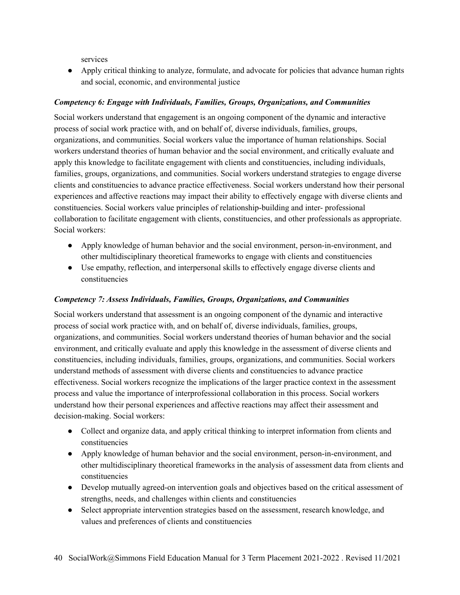services

 ● Apply critical thinking to analyze, formulate, and advocate for policies that advance human rights and social, economic, and environmental justice

# <span id="page-39-0"></span> *Competency 6: Engage with Individuals, Families, Groups, Organizations, and Communities*

 Social workers understand that engagement is an ongoing component of the dynamic and interactive process of social work practice with, and on behalf of, diverse individuals, families, groups, organizations, and communities. Social workers value the importance of human relationships. Social workers understand theories of human behavior and the social environment, and critically evaluate and apply this knowledge to facilitate engagement with clients and constituencies, including individuals, families, groups, organizations, and communities. Social workers understand strategies to engage diverse clients and constituencies to advance practice effectiveness. Social workers understand how their personal experiences and affective reactions may impact their ability to effectively engage with diverse clients and constituencies. Social workers value principles of relationship-building and inter- professional collaboration to facilitate engagement with clients, constituencies, and other professionals as appropriate. Social workers:

- ● Apply knowledge of human behavior and the social environment, person-in-environment, and other multidisciplinary theoretical frameworks to engage with clients and constituencies
- ● Use empathy, reflection, and interpersonal skills to effectively engage diverse clients and constituencies

# <span id="page-39-1"></span> *Competency 7: Assess Individuals, Families, Groups, Organizations, and Communities*

 Social workers understand that assessment is an ongoing component of the dynamic and interactive process of social work practice with, and on behalf of, diverse individuals, families, groups, organizations, and communities. Social workers understand theories of human behavior and the social environment, and critically evaluate and apply this knowledge in the assessment of diverse clients and constituencies, including individuals, families, groups, organizations, and communities. Social workers understand methods of assessment with diverse clients and constituencies to advance practice effectiveness. Social workers recognize the implications of the larger practice context in the assessment process and value the importance of interprofessional collaboration in this process. Social workers understand how their personal experiences and affective reactions may affect their assessment and decision-making. Social workers:

- ● Collect and organize data, and apply critical thinking to interpret information from clients and constituencies
- ● Apply knowledge of human behavior and the social environment, person-in-environment, and other multidisciplinary theoretical frameworks in the analysis of assessment data from clients and constituencies
- ● Develop mutually agreed-on intervention goals and objectives based on the critical assessment of strengths, needs, and challenges within clients and constituencies
- ● Select appropriate intervention strategies based on the assessment, research knowledge, and values and preferences of clients and constituencies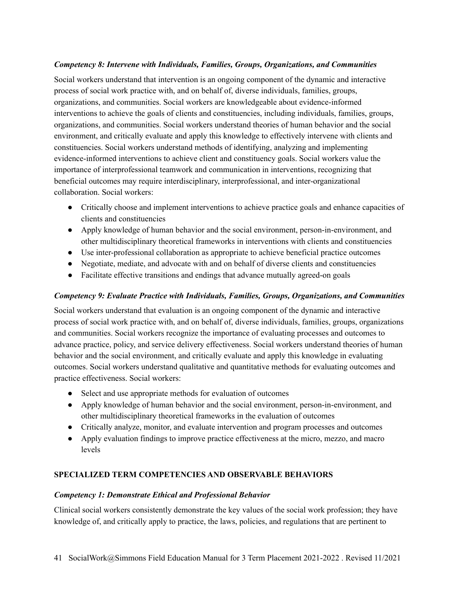### <span id="page-40-0"></span> *Competency 8: Intervene with Individuals, Families, Groups, Organizations, and Communities*

 Social workers understand that intervention is an ongoing component of the dynamic and interactive process of social work practice with, and on behalf of, diverse individuals, families, groups, organizations, and communities. Social workers are knowledgeable about evidence-informed interventions to achieve the goals of clients and constituencies, including individuals, families, groups, organizations, and communities. Social workers understand theories of human behavior and the social environment, and critically evaluate and apply this knowledge to effectively intervene with clients and constituencies. Social workers understand methods of identifying, analyzing and implementing evidence-informed interventions to achieve client and constituency goals. Social workers value the importance of interprofessional teamwork and communication in interventions, recognizing that beneficial outcomes may require interdisciplinary, interprofessional, and inter-organizational collaboration. Social workers:

- ● Critically choose and implement interventions to achieve practice goals and enhance capacities of clients and constituencies
- ● Apply knowledge of human behavior and the social environment, person-in-environment, and other multidisciplinary theoretical frameworks in interventions with clients and constituencies
- Use inter-professional collaboration as appropriate to achieve beneficial practice outcomes
- Negotiate, mediate, and advocate with and on behalf of diverse clients and constituencies
- Facilitate effective transitions and endings that advance mutually agreed-on goals

# <span id="page-40-1"></span> *Competency 9: Evaluate Practice with Individuals, Families, Groups, Organizations, and Communities*

 Social workers understand that evaluation is an ongoing component of the dynamic and interactive process of social work practice with, and on behalf of, diverse individuals, families, groups, organizations and communities. Social workers recognize the importance of evaluating processes and outcomes to advance practice, policy, and service delivery effectiveness. Social workers understand theories of human behavior and the social environment, and critically evaluate and apply this knowledge in evaluating outcomes. Social workers understand qualitative and quantitative methods for evaluating outcomes and practice effectiveness. Social workers:

- Select and use appropriate methods for evaluation of outcomes
- ● Apply knowledge of human behavior and the social environment, person-in-environment, and other multidisciplinary theoretical frameworks in the evaluation of outcomes
- Critically analyze, monitor, and evaluate intervention and program processes and outcomes
- ● Apply evaluation findings to improve practice effectiveness at the micro, mezzo, and macro levels

# <span id="page-40-2"></span> **SPECIALIZED TERM COMPETENCIES AND OBSERVABLE BEHAVIORS**

# <span id="page-40-3"></span> *Competency 1: Demonstrate Ethical and Professional Behavior*

 Clinical social workers consistently demonstrate the key values of the social work profession; they have knowledge of, and critically apply to practice, the laws, policies, and regulations that are pertinent to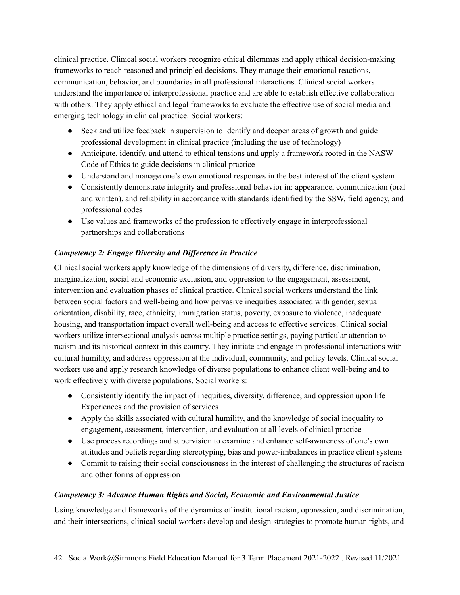clinical practice. Clinical social workers recognize ethical dilemmas and apply ethical decision-making frameworks to reach reasoned and principled decisions. They manage their emotional reactions, communication, behavior, and boundaries in all professional interactions. Clinical social workers understand the importance of interprofessional practice and are able to establish effective collaboration with others. They apply ethical and legal frameworks to evaluate the effective use of social media and emerging technology in clinical practice. Social workers:

- ● Seek and utilize feedback in supervision to identify and deepen areas of growth and guide professional development in clinical practice (including the use of technology)
- ● Anticipate, identify, and attend to ethical tensions and apply a framework rooted in the NASW Code of Ethics to guide decisions in clinical practice
- Understand and manage one's own emotional responses in the best interest of the client system
- ● Consistently demonstrate integrity and professional behavior in: appearance, communication (oral and written), and reliability in accordance with standards identified by the SSW, field agency, and professional codes
- ● Use values and frameworks of the profession to effectively engage in interprofessional partnerships and collaborations

# <span id="page-41-0"></span> *Competency 2: Engage Diversity and Difference in Practice*

 Clinical social workers apply knowledge of the dimensions of diversity, difference, discrimination, marginalization, social and economic exclusion, and oppression to the engagement, assessment, intervention and evaluation phases of clinical practice. Clinical social workers understand the link between social factors and well-being and how pervasive inequities associated with gender, sexual orientation, disability, race, ethnicity, immigration status, poverty, exposure to violence, inadequate housing, and transportation impact overall well-being and access to effective services. Clinical social workers utilize intersectional analysis across multiple practice settings, paying particular attention to racism and its historical context in this country. They initiate and engage in professional interactions with cultural humility, and address oppression at the individual, community, and policy levels. Clinical social workers use and apply research knowledge of diverse populations to enhance client well-being and to work effectively with diverse populations. Social workers:

- ● Consistently identify the impact of inequities, diversity, difference, and oppression upon life Experiences and the provision of services
- ● Apply the skills associated with cultural humility, and the knowledge of social inequality to engagement, assessment, intervention, and evaluation at all levels of clinical practice
- ● Use process recordings and supervision to examine and enhance self-awareness of one's own attitudes and beliefs regarding stereotyping, bias and power-imbalances in practice client systems
- ● Commit to raising their social consciousness in the interest of challenging the structures of racism and other forms of oppression

# <span id="page-41-1"></span> *Competency 3: Advance Human Rights and Social, Economic and Environmental Justice*

 Using knowledge and frameworks of the dynamics of institutional racism, oppression, and discrimination, and their intersections, clinical social workers develop and design strategies to promote human rights, and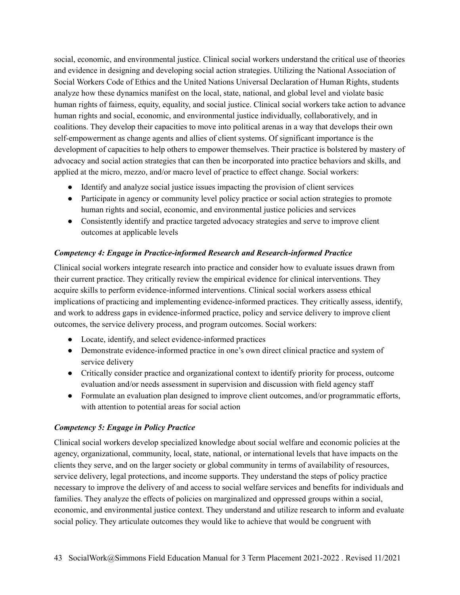social, economic, and environmental justice. Clinical social workers understand the critical use of theories and evidence in designing and developing social action strategies. Utilizing the National Association of Social Workers Code of Ethics and the United Nations Universal Declaration of Human Rights, students analyze how these dynamics manifest on the local, state, national, and global level and violate basic human rights of fairness, equity, equality, and social justice. Clinical social workers take action to advance human rights and social, economic, and environmental justice individually, collaboratively, and in coalitions. They develop their capacities to move into political arenas in a way that develops their own self-empowerment as change agents and allies of client systems. Of significant importance is the development of capacities to help others to empower themselves. Their practice is bolstered by mastery of advocacy and social action strategies that can then be incorporated into practice behaviors and skills, and applied at the micro, mezzo, and/or macro level of practice to effect change. Social workers:

- Identify and analyze social justice issues impacting the provision of client services
- ● Participate in agency or community level policy practice or social action strategies to promote human rights and social, economic, and environmental justice policies and services
- ● Consistently identify and practice targeted advocacy strategies and serve to improve client outcomes at applicable levels

# <span id="page-42-0"></span> *Competency 4: Engage in Practice-informed Research and Research-informed Practice*

 Clinical social workers integrate research into practice and consider how to evaluate issues drawn from their current practice. They critically review the empirical evidence for clinical interventions. They acquire skills to perform evidence-informed interventions. Clinical social workers assess ethical implications of practicing and implementing evidence-informed practices. They critically assess, identify, and work to address gaps in evidence-informed practice, policy and service delivery to improve client outcomes, the service delivery process, and program outcomes. Social workers:

- Locate, identify, and select evidence-informed practices
- ● Demonstrate evidence-informed practice in one's own direct clinical practice and system of service delivery
- ● Critically consider practice and organizational context to identify priority for process, outcome evaluation and/or needs assessment in supervision and discussion with field agency staff
- ● Formulate an evaluation plan designed to improve client outcomes, and/or programmatic efforts, with attention to potential areas for social action

#### <span id="page-42-1"></span> *Competency 5: Engage in Policy Practice*

 Clinical social workers develop specialized knowledge about social welfare and economic policies at the agency, organizational, community, local, state, national, or international levels that have impacts on the clients they serve, and on the larger society or global community in terms of availability of resources, service delivery, legal protections, and income supports. They understand the steps of policy practice necessary to improve the delivery of and access to social welfare services and benefits for individuals and families. They analyze the effects of policies on marginalized and oppressed groups within a social, economic, and environmental justice context. They understand and utilize research to inform and evaluate social policy. They articulate outcomes they would like to achieve that would be congruent with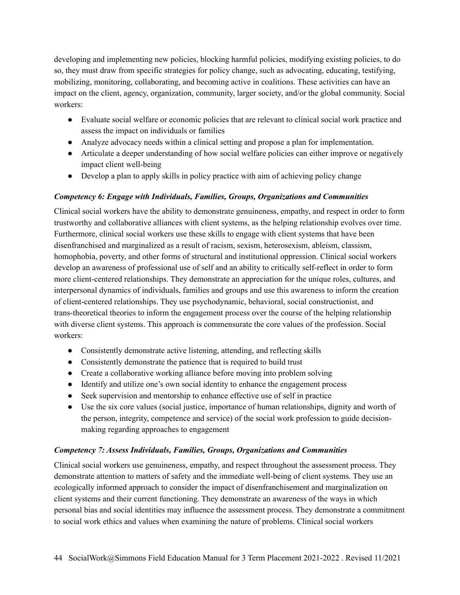developing and implementing new policies, blocking harmful policies, modifying existing policies, to do so, they must draw from specific strategies for policy change, such as advocating, educating, testifying, mobilizing, monitoring, collaborating, and becoming active in coalitions. These activities can have an impact on the client, agency, organization, community, larger society, and/or the global community. Social workers:

- ● Evaluate social welfare or economic policies that are relevant to clinical social work practice and assess the impact on individuals or families
- Analyze advocacy needs within a clinical setting and propose a plan for implementation.
- ● Articulate a deeper understanding of how social welfare policies can either improve or negatively impact client well-being
- Develop a plan to apply skills in policy practice with aim of achieving policy change

# <span id="page-43-0"></span> *Competency 6: Engage with Individuals, Families, Groups, Organizations and Communities*

 Clinical social workers have the ability to demonstrate genuineness, empathy, and respect in order to form trustworthy and collaborative alliances with client systems, as the helping relationship evolves over time. Furthermore, clinical social workers use these skills to engage with client systems that have been disenfranchised and marginalized as a result of racism, sexism, heterosexism, ableism, classism, homophobia, poverty, and other forms of structural and institutional oppression. Clinical social workers develop an awareness of professional use of self and an ability to critically self-reflect in order to form more client-centered relationships. They demonstrate an appreciation for the unique roles, cultures, and interpersonal dynamics of individuals, families and groups and use this awareness to inform the creation of client-centered relationships. They use psychodynamic, behavioral, social constructionist, and trans-theoretical theories to inform the engagement process over the course of the helping relationship with diverse client systems. This approach is commensurate the core values of the profession. Social workers:

- Consistently demonstrate active listening, attending, and reflecting skills
- Consistently demonstrate the patience that is required to build trust
- Create a collaborative working alliance before moving into problem solving
- Identify and utilize one's own social identity to enhance the engagement process
- Seek supervision and mentorship to enhance effective use of self in practice
- ● Use the six core values (social justice, importance of human relationships, dignity and worth of the person, integrity, competence and service) of the social work profession to guide decision-making regarding approaches to engagement

# <span id="page-43-1"></span> *Competency 7: Assess Individuals, Families, Groups, Organizations and Communities*

 Clinical social workers use genuineness, empathy, and respect throughout the assessment process. They demonstrate attention to matters of safety and the immediate well-being of client systems. They use an ecologically informed approach to consider the impact of disenfranchisement and marginalization on client systems and their current functioning. They demonstrate an awareness of the ways in which personal bias and social identities may influence the assessment process. They demonstrate a commitment to social work ethics and values when examining the nature of problems. Clinical social workers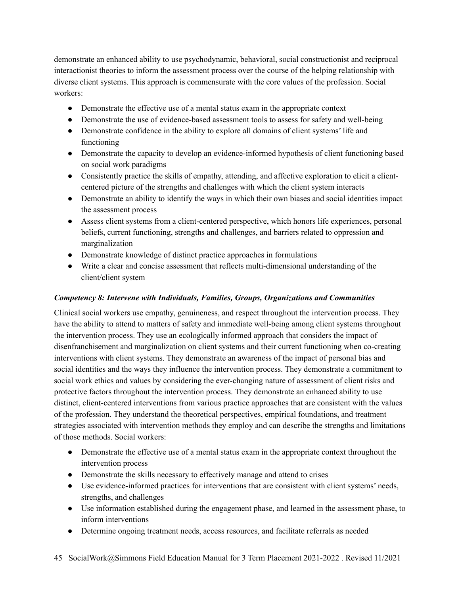demonstrate an enhanced ability to use psychodynamic, behavioral, social constructionist and reciprocal interactionist theories to inform the assessment process over the course of the helping relationship with diverse client systems. This approach is commensurate with the core values of the profession. Social workers:

- Demonstrate the effective use of a mental status exam in the appropriate context
- Demonstrate the use of evidence-based assessment tools to assess for safety and well-being
- ● Demonstrate confidence in the ability to explore all domains of client systems' life and functioning
- ● Demonstrate the capacity to develop an evidence-informed hypothesis of client functioning based on social work paradigms
- ● Consistently practice the skills of empathy, attending, and affective exploration to elicit a client-centered picture of the strengths and challenges with which the client system interacts
- ● Demonstrate an ability to identify the ways in which their own biases and social identities impact the assessment process
- ● Assess client systems from a client-centered perspective, which honors life experiences, personal beliefs, current functioning, strengths and challenges, and barriers related to oppression and marginalization
- Demonstrate knowledge of distinct practice approaches in formulations
- ● Write a clear and concise assessment that reflects multi-dimensional understanding of the client/client system

# <span id="page-44-0"></span> *Competency 8: Intervene with Individuals, Families, Groups, Organizations and Communities*

 Clinical social workers use empathy, genuineness, and respect throughout the intervention process. They have the ability to attend to matters of safety and immediate well-being among client systems throughout the intervention process. They use an ecologically informed approach that considers the impact of disenfranchisement and marginalization on client systems and their current functioning when co-creating interventions with client systems. They demonstrate an awareness of the impact of personal bias and social identities and the ways they influence the intervention process. They demonstrate a commitment to social work ethics and values by considering the ever-changing nature of assessment of client risks and protective factors throughout the intervention process. They demonstrate an enhanced ability to use distinct, client-centered interventions from various practice approaches that are consistent with the values of the profession. They understand the theoretical perspectives, empirical foundations, and treatment strategies associated with intervention methods they employ and can describe the strengths and limitations of those methods. Social workers:

- ● Demonstrate the effective use of a mental status exam in the appropriate context throughout the intervention process
- Demonstrate the skills necessary to effectively manage and attend to crises
- ● Use evidence-informed practices for interventions that are consistent with client systems' needs, strengths, and challenges
- ● Use information established during the engagement phase, and learned in the assessment phase, to inform interventions
- Determine ongoing treatment needs, access resources, and facilitate referrals as needed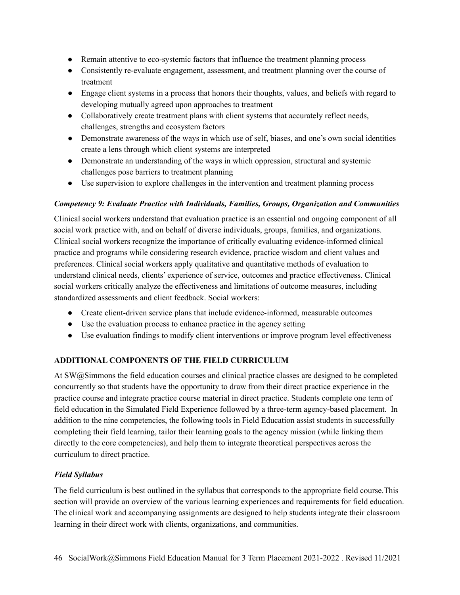- Remain attentive to eco-systemic factors that influence the treatment planning process
- ● Consistently re-evaluate engagement, assessment, and treatment planning over the course of treatment
- ● Engage client systems in a process that honors their thoughts, values, and beliefs with regard to developing mutually agreed upon approaches to treatment
- ● Collaboratively create treatment plans with client systems that accurately reflect needs, challenges, strengths and ecosystem factors
- Demonstrate awareness of the ways in which use of self, biases, and one's own social identities create a lens through which client systems are interpreted
- ● Demonstrate an understanding of the ways in which oppression, structural and systemic challenges pose barriers to treatment planning
- Use supervision to explore challenges in the intervention and treatment planning process

# <span id="page-45-0"></span> *Competency 9: Evaluate Practice with Individuals, Families, Groups, Organization and Communities*

 Clinical social workers understand that evaluation practice is an essential and ongoing component of all social work practice with, and on behalf of diverse individuals, groups, families, and organizations. Clinical social workers recognize the importance of critically evaluating evidence-informed clinical practice and programs while considering research evidence, practice wisdom and client values and preferences. Clinical social workers apply qualitative and quantitative methods of evaluation to understand clinical needs, clients' experience of service, outcomes and practice effectiveness. Clinical social workers critically analyze the effectiveness and limitations of outcome measures, including standardized assessments and client feedback. Social workers:

- Create client-driven service plans that include evidence-informed, measurable outcomes
- Use the evaluation process to enhance practice in the agency setting
- Use evaluation findings to modify client interventions or improve program level effectiveness

# <span id="page-45-1"></span> **ADDITIONAL COMPONENTS OF THE FIELD CURRICULUM**

 At SW@Simmons the field education courses and clinical practice classes are designed to be completed concurrently so that students have the opportunity to draw from their direct practice experience in the practice course and integrate practice course material in direct practice. Students complete one term of field education in the Simulated Field Experience followed by a three-term agency-based placement. In addition to the nine competencies, the following tools in Field Education assist students in successfully completing their field learning, tailor their learning goals to the agency mission (while linking them directly to the core competencies), and help them to integrate theoretical perspectives across the curriculum to direct practice.

#### <span id="page-45-2"></span>*Field Syllabus*

 The field curriculum is best outlined in the syllabus that corresponds to the appropriate field course.This section will provide an overview of the various learning experiences and requirements for field education. The clinical work and accompanying assignments are designed to help students integrate their classroom learning in their direct work with clients, organizations, and communities.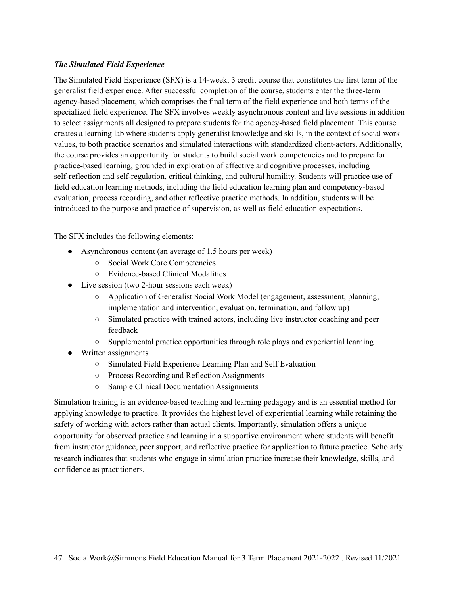#### <span id="page-46-0"></span> *The Simulated Field Experience*

 The Simulated Field Experience (SFX) is a 14-week, 3 credit course that constitutes the first term of the generalist field experience. After successful completion of the course, students enter the three-term agency-based placement, which comprises the final term of the field experience and both terms of the specialized field experience. The SFX involves weekly asynchronous content and live sessions in addition to select assignments all designed to prepare students for the agency-based field placement. This course creates a learning lab where students apply generalist knowledge and skills, in the context of social work values, to both practice scenarios and simulated interactions with standardized client-actors. Additionally, the course provides an opportunity for students to build social work competencies and to prepare for practice-based learning, grounded in exploration of affective and cognitive processes, including self-reflection and self-regulation, critical thinking, and cultural humility. Students will practice use of field education learning methods, including the field education learning plan and competency-based evaluation, process recording, and other reflective practice methods. In addition, students will be introduced to the purpose and practice of supervision, as well as field education expectations.

The SFX includes the following elements:

- ● Asynchronous content (an average of 1.5 hours per week)
	- Social Work Core Competencies
	- Evidence-based Clinical Modalities
- ● Live session (two 2-hour sessions each week)
	- ○ Application of Generalist Social Work Model (engagement, assessment, planning, implementation and intervention, evaluation, termination, and follow up)
	- ○ Simulated practice with trained actors, including live instructor coaching and peer feedback
	- Supplemental practice opportunities through role plays and experiential learning
- Written assignments
	- Simulated Field Experience Learning Plan and Self Evaluation
	- Process Recording and Reflection Assignments
	- Sample Clinical Documentation Assignments

 Simulation training is an evidence-based teaching and learning pedagogy and is an essential method for applying knowledge to practice. It provides the highest level of experiential learning while retaining the safety of working with actors rather than actual clients. Importantly, simulation offers a unique opportunity for observed practice and learning in a supportive environment where students will benefit from instructor guidance, peer support, and reflective practice for application to future practice. Scholarly research indicates that students who engage in simulation practice increase their knowledge, skills, and confidence as practitioners.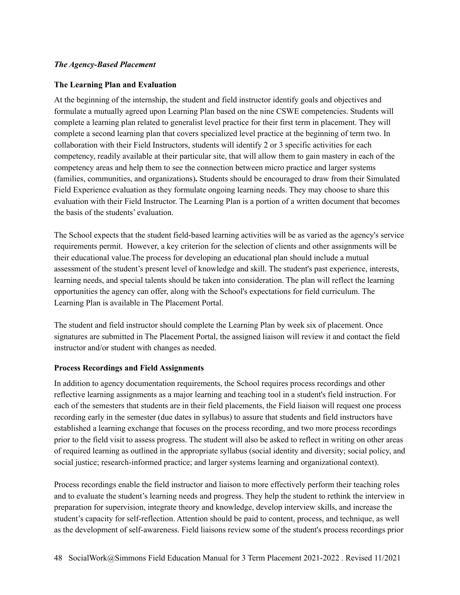#### <span id="page-47-0"></span>*The Agency-Based Placement*

#### <span id="page-47-1"></span> **The Learning Plan and Evaluation**

 At the beginning of the internship, the student and field instructor identify goals and objectives and formulate a mutually agreed upon Learning Plan based on the nine CSWE competencies. Students will complete a learning plan related to generalist level practice for their first term in placement. They will collaboration with their Field Instructors, students will identify 2 or 3 specific activities for each competency, readily available at their particular site, that will allow them to gain mastery in each of the competency areas and help them to see the connection between micro practice and larger systems (families, communities, and organizations)**.** Students should be encouraged to draw from their Simulated Field Experience evaluation as they formulate ongoing learning needs. They may choose to share this evaluation with their Field Instructor. The Learning Plan is a portion of a written document that becomes the basis of the students' evaluation. complete a second learning plan that covers specialized level practice at the beginning of term two. In

 The School expects that the student field-based learning activities will be as varied as the agency's service requirements permit. However, a key criterion for the selection of clients and other assignments will be their educational value.The process for developing an educational plan should include a mutual assessment of the student's present level of knowledge and skill. The student's past experience, interests, learning needs, and special talents should be taken into consideration. The plan will reflect the learning opportunities the agency can offer, along with the School's expectations for field curriculum. The Learning Plan is available in The Placement Portal.

 The student and field instructor should complete the Learning Plan by week six of placement. Once signatures are submitted in The Placement Portal, the assigned liaison will review it and contact the field instructor and/or student with changes as needed.

#### <span id="page-47-2"></span> **Process Recordings and Field Assignments**

 In addition to agency documentation requirements, the School requires process recordings and other reflective learning assignments as a major learning and teaching tool in a student's field instruction. For each of the semesters that students are in their field placements, the Field liaison will request one process recording early in the semester (due dates in syllabus) to assure that students and field instructors have established a learning exchange that focuses on the process recording, and two more process recordings prior to the field visit to assess progress. The student will also be asked to reflect in writing on other areas of required learning as outlined in the appropriate syllabus (social identity and diversity; social policy, and social justice; research-informed practice; and larger systems learning and organizational context).

 Process recordings enable the field instructor and liaison to more effectively perform their teaching roles and to evaluate the student's learning needs and progress. They help the student to rethink the interview in preparation for supervision, integrate theory and knowledge, develop interview skills, and increase the student's capacity for self-reflection. Attention should be paid to content, process, and technique, as well as the development of self-awareness. Field liaisons review some of the student's process recordings prior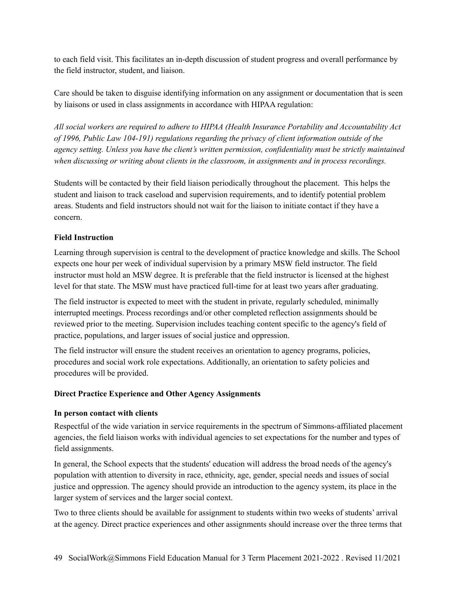to each field visit. This facilitates an in-depth discussion of student progress and overall performance by the field instructor, student, and liaison.

 Care should be taken to disguise identifying information on any assignment or documentation that is seen by liaisons or used in class assignments in accordance with HIPAA regulation:

 *All social workers are required to adhere to HIPAA (Health Insurance Portability and Accountability Act of 1996, Public Law 104-191) regulations regarding the privacy of client information outside of the agency setting. Unless you have the client's written permission, confidentiality must be strictly maintained when discussing or writing about clients in the classroom, in assignments and in process recordings.*

 Students will be contacted by their field liaison periodically throughout the placement. This helps the student and liaison to track caseload and supervision requirements, and to identify potential problem areas. Students and field instructors should not wait for the liaison to initiate contact if they have a concern.

# <span id="page-48-0"></span>**Field Instruction**

 Learning through supervision is central to the development of practice knowledge and skills. The School expects one hour per week of individual supervision by a primary MSW field instructor. The field instructor must hold an MSW degree. It is preferable that the field instructor is licensed at the highest level for that state. The MSW must have practiced full-time for at least two years after graduating.

 The field instructor is expected to meet with the student in private, regularly scheduled, minimally interrupted meetings. Process recordings and/or other completed reflection assignments should be reviewed prior to the meeting. Supervision includes teaching content specific to the agency's field of practice, populations, and larger issues of social justice and oppression.

 The field instructor will ensure the student receives an orientation to agency programs, policies, procedures and social work role expectations. Additionally, an orientation to safety policies and procedures will be provided.

# <span id="page-48-1"></span> **Direct Practice Experience and Other Agency Assignments**

#### <span id="page-48-2"></span> **In person contact with clients**

 Respectful of the wide variation in service requirements in the spectrum of Simmons-affiliated placement agencies, the field liaison works with individual agencies to set expectations for the number and types of field assignments.

 In general, the School expects that the students' education will address the broad needs of the agency's population with attention to diversity in race, ethnicity, age, gender, special needs and issues of social justice and oppression. The agency should provide an introduction to the agency system, its place in the larger system of services and the larger social context.

 Two to three clients should be available for assignment to students within two weeks of students' arrival at the agency. Direct practice experiences and other assignments should increase over the three terms that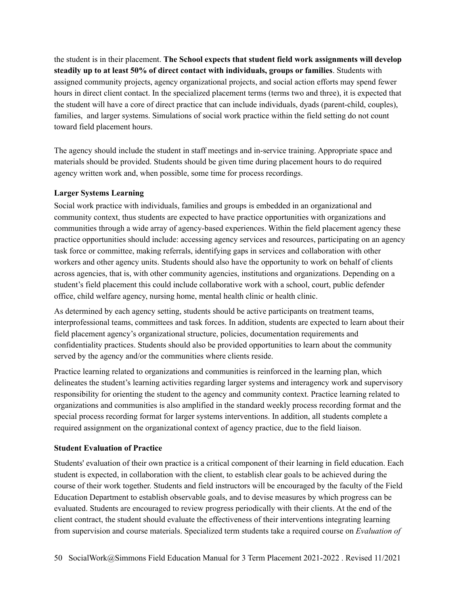the student is in their placement. **The School expects that student field work assignments will develop steadily up to at least 50% of direct contact with individuals, groups or families**. Students with assigned community projects, agency organizational projects, and social action efforts may spend fewer hours in direct client contact. In the specialized placement terms (terms two and three), it is expected that the student will have a core of direct practice that can include individuals, dyads (parent-child, couples), families, and larger systems. Simulations of social work practice within the field setting do not count toward field placement hours.

 The agency should include the student in staff meetings and in-service training. Appropriate space and materials should be provided. Students should be given time during placement hours to do required agency written work and, when possible, some time for process recordings.

#### <span id="page-49-0"></span> **Larger Systems Learning**

 Social work practice with individuals, families and groups is embedded in an organizational and community context, thus students are expected to have practice opportunities with organizations and communities through a wide array of agency-based experiences. Within the field placement agency these practice opportunities should include: accessing agency services and resources, participating on an agency task force or committee, making referrals, identifying gaps in services and collaboration with other workers and other agency units. Students should also have the opportunity to work on behalf of clients across agencies, that is, with other community agencies, institutions and organizations. Depending on a student's field placement this could include collaborative work with a school, court, public defender office, child welfare agency, nursing home, mental health clinic or health clinic.

 As determined by each agency setting, students should be active participants on treatment teams, interprofessional teams, committees and task forces. In addition, students are expected to learn about their field placement agency's organizational structure, policies, documentation requirements and confidentiality practices. Students should also be provided opportunities to learn about the community served by the agency and/or the communities where clients reside.

 Practice learning related to organizations and communities is reinforced in the learning plan, which delineates the student's learning activities regarding larger systems and interagency work and supervisory responsibility for orienting the student to the agency and community context. Practice learning related to organizations and communities is also amplified in the standard weekly process recording format and the special process recording format for larger systems interventions. In addition, all students complete a required assignment on the organizational context of agency practice, due to the field liaison.

# <span id="page-49-1"></span> **Student Evaluation of Practice**

 Students' evaluation of their own practice is a critical component of their learning in field education. Each student is expected, in collaboration with the client, to establish clear goals to be achieved during the course of their work together. Students and field instructors will be encouraged by the faculty of the Field Education Department to establish observable goals, and to devise measures by which progress can be evaluated. Students are encouraged to review progress periodically with their clients. At the end of the client contract, the student should evaluate the effectiveness of their interventions integrating learning from supervision and course materials. Specialized term students take a required course on *Evaluation of*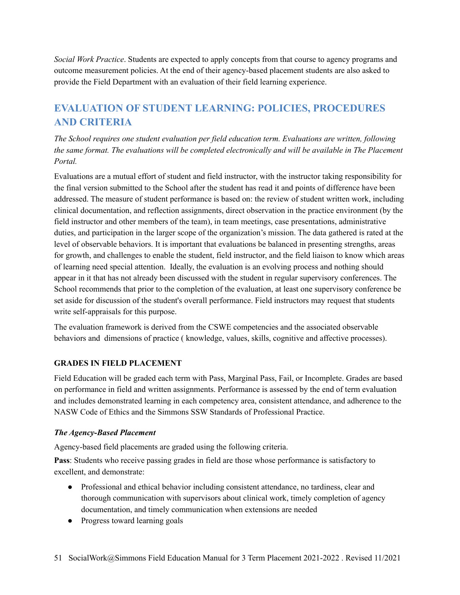*Social Work Practice*. Students are expected to apply concepts from that course to agency programs and outcome measurement policies. At the end of their agency-based placement students are also asked to provide the Field Department with an evaluation of their field learning experience.

# <span id="page-50-0"></span> **EVALUATION OF STUDENT LEARNING: POLICIES, PROCEDURES AND CRITERIA**

 *The School requires one student evaluation per field education term. Evaluations are written, following* the same format. The evaluations will be completed electronically and will be available in The Placement *Portal.*

 Evaluations are a mutual effort of student and field instructor, with the instructor taking responsibility for the final version submitted to the School after the student has read it and points of difference have been addressed. The measure of student performance is based on: the review of student written work, including clinical documentation, and reflection assignments, direct observation in the practice environment (by the field instructor and other members of the team), in team meetings, case presentations, administrative duties, and participation in the larger scope of the organization's mission. The data gathered is rated at the level of observable behaviors. It is important that evaluations be balanced in presenting strengths, areas for growth, and challenges to enable the student, field instructor, and the field liaison to know which areas of learning need special attention. Ideally, the evaluation is an evolving process and nothing should appear in it that has not already been discussed with the student in regular supervisory conferences. The School recommends that prior to the completion of the evaluation, at least one supervisory conference be set aside for discussion of the student's overall performance. Field instructors may request that students write self-appraisals for this purpose.

 The evaluation framework is derived from the CSWE competencies and the associated observable behaviors and dimensions of practice ( knowledge, values, skills, cognitive and affective processes).

#### <span id="page-50-1"></span> **GRADES IN FIELD PLACEMENT**

 Field Education will be graded each term with Pass, Marginal Pass, Fail, or Incomplete. Grades are based on performance in field and written assignments. Performance is assessed by the end of term evaluation and includes demonstrated learning in each competency area, consistent attendance, and adherence to the NASW Code of Ethics and the Simmons SSW Standards of Professional Practice.

# <span id="page-50-2"></span>*The Agency-Based Placement*

Agency-based field placements are graded using the following criteria.

 **Pass**: Students who receive passing grades in field are those whose performance is satisfactory to excellent, and demonstrate:

- ● Professional and ethical behavior including consistent attendance, no tardiness, clear and thorough communication with supervisors about clinical work, timely completion of agency documentation, and timely communication when extensions are needed
- Progress toward learning goals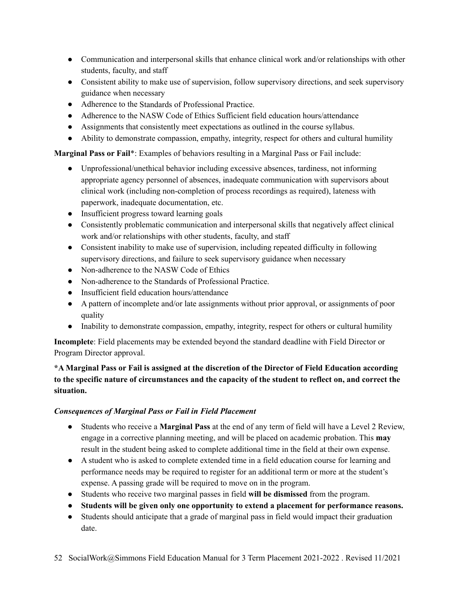- Communication and interpersonal skills that enhance clinical work and/or relationships with other students, faculty, and staff
- ● Consistent ability to make use of supervision, follow supervisory directions, and seek supervisory guidance when necessary
- Adherence to the Standards of Professional Practice.
- Adherence to the NASW Code of Ethics Sufficient field education hours/attendance
- Assignments that consistently meet expectations as outlined in the course syllabus.
- Ability to demonstrate compassion, empathy, integrity, respect for others and cultural humility

 **Marginal Pass or Fail**\*: Examples of behaviors resulting in a Marginal Pass or Fail include:

- ● Unprofessional/unethical behavior including excessive absences, tardiness, not informing appropriate agency personnel of absences, inadequate communication with supervisors about clinical work (including non-completion of process recordings as required), lateness with paperwork, inadequate documentation, etc.
- Insufficient progress toward learning goals
- ● Consistently problematic communication and interpersonal skills that negatively affect clinical work and/or relationships with other students, faculty, and staff
- ● Consistent inability to make use of supervision, including repeated difficulty in following supervisory directions, and failure to seek supervisory guidance when necessary
- Non-adherence to the NASW Code of Ethics
- Non-adherence to the Standards of Professional Practice.
- Insufficient field education hours/attendance
- ● A pattern of incomplete and/or late assignments without prior approval, or assignments of poor quality
- Inability to demonstrate compassion, empathy, integrity, respect for others or cultural humility

 **Incomplete**: Field placements may be extended beyond the standard deadline with Field Director or Program Director approval.

# \*A Marginal Pass or Fail is assigned at the discretion of the Director of Field Education according to the specific nature of circumstances and the capacity of the student to reflect on, and correct the **situation.**

# <span id="page-51-0"></span> *Consequences of Marginal Pass or Fail in Field Placement*

- ● Students who receive a **Marginal Pass** at the end of any term of field will have a Level 2 Review, engage in a corrective planning meeting, and will be placed on academic probation. This **may** result in the student being asked to complete additional time in the field at their own expense.
- ● A student who is asked to complete extended time in a field education course for learning and performance needs may be required to register for an additional term or more at the student's expense. A passing grade will be required to move on in the program.
- Students who receive two marginal passes in field **will be dismissed** from the program.
- **● Students will be given only one opportunity to extend a placement for performance reasons.**
- ● Students should anticipate that a grade of marginal pass in field would impact their graduation date.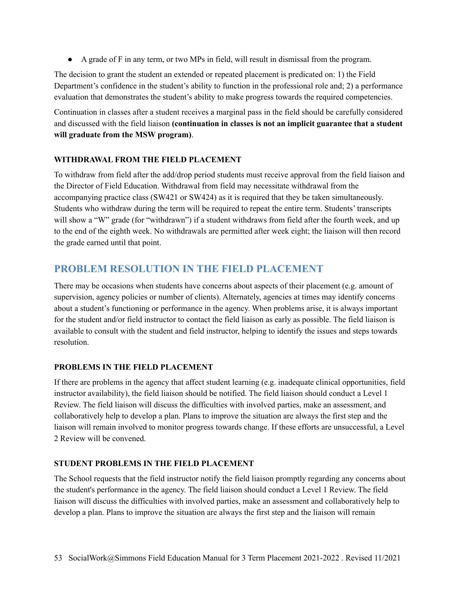● A grade of F in any term, or two MPs in field, will result in dismissal from the program.

 The decision to grant the student an extended or repeated placement is predicated on: 1) the Field Department's confidence in the student's ability to function in the professional role and; 2) a performance evaluation that demonstrates the student's ability to make progress towards the required competencies.

 Continuation in classes after a student receives a marginal pass in the field should be carefully considered and discussed with the field liaison **(continuation in classes is not an implicit guarantee that a student will graduate from the MSW program)**.

# <span id="page-52-0"></span> **WITHDRAWAL FROM THE FIELD PLACEMENT**

 To withdraw from field after the add/drop period students must receive approval from the field liaison and the Director of Field Education. Withdrawal from field may necessitate withdrawal from the accompanying practice class (SW421 or SW424) as it is required that they be taken simultaneously. Students who withdraw during the term will be required to repeat the entire term. Students' transcripts will show a "W" grade (for "withdrawn") if a student withdraws from field after the fourth week, and up to the end of the eighth week. No withdrawals are permitted after week eight; the liaison will then record the grade earned until that point.

# <span id="page-52-1"></span> **PROBLEM RESOLUTION IN THE FIELD PLACEMENT**

 There may be occasions when students have concerns about aspects of their placement (e.g. amount of supervision, agency policies or number of clients). Alternately, agencies at times may identify concerns about a student's functioning or performance in the agency. When problems arise, it is always important for the student and/or field instructor to contact the field liaison as early as possible. The field liaison is available to consult with the student and field instructor, helping to identify the issues and steps towards resolution.

# <span id="page-52-2"></span> **PROBLEMS IN THE FIELD PLACEMENT**

 If there are problems in the agency that affect student learning (e.g. inadequate clinical opportunities, field instructor availability), the field liaison should be notified. The field liaison should conduct a Level 1 Review. The field liaison will discuss the difficulties with involved parties, make an assessment, and collaboratively help to develop a plan. Plans to improve the situation are always the first step and the liaison will remain involved to monitor progress towards change. If these efforts are unsuccessful, a Level 2 Review will be convened.

# <span id="page-52-3"></span> **STUDENT PROBLEMS IN THE FIELD PLACEMENT**

 The School requests that the field instructor notify the field liaison promptly regarding any concerns about the student's performance in the agency. The field liaison should conduct a Level 1 Review. The field liaison will discuss the difficulties with involved parties, make an assessment and collaboratively help to develop a plan. Plans to improve the situation are always the first step and the liaison will remain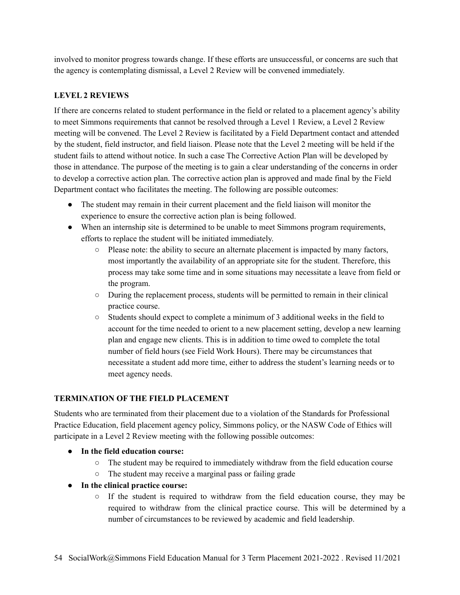involved to monitor progress towards change. If these efforts are unsuccessful, or concerns are such that the agency is contemplating dismissal, a Level 2 Review will be convened immediately.

# <span id="page-53-0"></span> **LEVEL 2 REVIEWS**

 If there are concerns related to student performance in the field or related to a placement agency's ability to meet Simmons requirements that cannot be resolved through a Level 1 Review, a Level 2 Review meeting will be convened. The Level 2 Review is facilitated by a Field Department contact and attended by the student, field instructor, and field liaison. Please note that the Level 2 meeting will be held if the student fails to attend without notice. In such a case The Corrective Action Plan will be developed by those in attendance. The purpose of the meeting is to gain a clear understanding of the concerns in order to develop a corrective action plan. The corrective action plan is approved and made final by the Field Department contact who facilitates the meeting. The following are possible outcomes:

- ● The student may remain in their current placement and the field liaison will monitor the experience to ensure the corrective action plan is being followed.
- ● When an internship site is determined to be unable to meet Simmons program requirements, efforts to replace the student will be initiated immediately.
	- ○ Please note: the ability to secure an alternate placement is impacted by many factors, most importantly the availability of an appropriate site for the student. Therefore, this process may take some time and in some situations may necessitate a leave from field or the program.
	- ○ During the replacement process, students will be permitted to remain in their clinical practice course.
	- ○ Students should expect to complete a minimum of 3 additional weeks in the field to account for the time needed to orient to a new placement setting, develop a new learning plan and engage new clients. This is in addition to time owed to complete the total number of field hours (see Field Work Hours). There may be circumstances that necessitate a student add more time, either to address the student's learning needs or to meet agency needs.

#### <span id="page-53-1"></span> **TERMINATION OF THE FIELD PLACEMENT**

 Students who are terminated from their placement due to a violation of the Standards for Professional Practice Education, field placement agency policy, Simmons policy, or the NASW Code of Ethics will participate in a Level 2 Review meeting with the following possible outcomes:

- **● In the field education course:**
	- The student may be required to immediately withdraw from the field education course
	- The student may receive a marginal pass or failing grade
- **● In the clinical practice course:**
	- number of circumstances to be reviewed by academic and field leadership.  $\circ$  If the student is required to withdraw from the field education course, they may be required to withdraw from the clinical practice course. This will be determined by a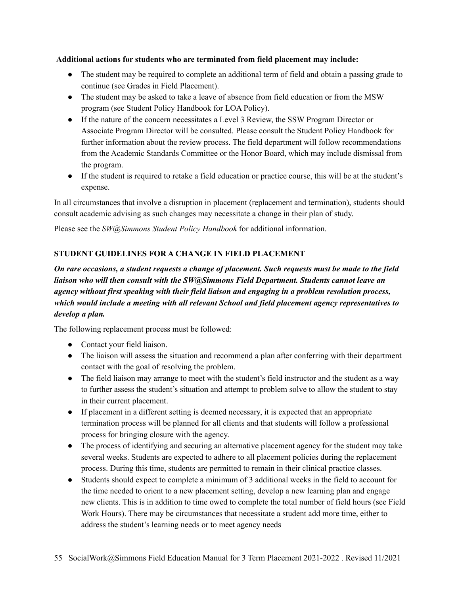#### **Additional actions for students who are terminated from field placement may include:**

- ● The student may be required to complete an additional term of field and obtain a passing grade to continue (see Grades in Field Placement).
- program (see Student Policy Handbook for LOA Policy). • The student may be asked to take a leave of absence from field education or from the MSW
- ● If the nature of the concern necessitates a Level 3 Review, the SSW Program Director or Associate Program Director will be consulted. Please consult the Student Policy Handbook for further information about the review process. The field department will follow recommendations from the Academic Standards Committee or the Honor Board, which may include dismissal from the program.
- ● If the student is required to retake a field education or practice course, this will be at the student's expense.

 In all circumstances that involve a disruption in placement (replacement and termination), students should consult academic advising as such changes may necessitate a change in their plan of study.

Please see the *SW@Simmons Student Policy Handbook* for additional information.

# <span id="page-54-0"></span> **STUDENT GUIDELINES FOR A CHANGE IN FIELD PLACEMENT**

On rare occasions, a student requests a change of placement. Such requests must be made to the field  *liaison who will then consult with the SW@Simmons Field Department. Students cannot leave an agency without first speaking with their field liaison and engaging in a problem resolution process, which would include a meeting with all relevant School and field placement agency representatives to develop a plan.*

The following replacement process must be followed:

- Contact your field liaison.
- ● The liaison will assess the situation and recommend a plan after conferring with their department contact with the goal of resolving the problem.
- The field liaison may arrange to meet with the student's field instructor and the student as a way to further assess the student's situation and attempt to problem solve to allow the student to stay in their current placement.
- ● If placement in a different setting is deemed necessary, it is expected that an appropriate termination process will be planned for all clients and that students will follow a professional process for bringing closure with the agency.
- ● The process of identifying and securing an alternative placement agency for the student may take several weeks. Students are expected to adhere to all placement policies during the replacement process. During this time, students are permitted to remain in their clinical practice classes.
- ● Students should expect to complete a minimum of 3 additional weeks in the field to account for the time needed to orient to a new placement setting, develop a new learning plan and engage new clients. This is in addition to time owed to complete the total number of field hours (see Field Work Hours). There may be circumstances that necessitate a student add more time, either to address the student's learning needs or to meet agency needs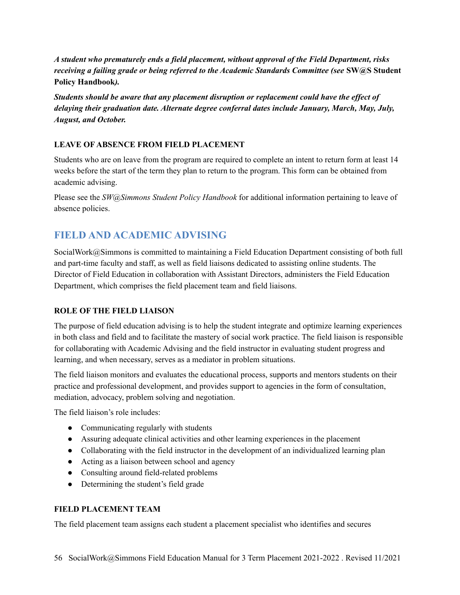*A student who prematurely ends a field placement, without approval of the Field Department, risks receiving a failing grade or being referred to the Academic Standards Committee (see* **SW@S Student Policy Handbook***).*

 *Students should be aware that any placement disruption or replacement could have the effect of delaying their graduation date. Alternate degree conferral dates include January, March, May, July, August, and October.*

# <span id="page-55-0"></span> **LEAVE OF ABSENCE FROM FIELD PLACEMENT**

 Students who are on leave from the program are required to complete an intent to return form at least 14 weeks before the start of the term they plan to return to the program. This form can be obtained from academic advising.

 Please see the *SW@Simmons Student Policy Handbook* for additional information pertaining to leave of absence policies.

# <span id="page-55-1"></span> **FIELD AND ACADEMIC ADVISING**

 SocialWork@Simmons is committed to maintaining a Field Education Department consisting of both full and part-time faculty and staff, as well as field liaisons dedicated to assisting online students. The Director of Field Education in collaboration with Assistant Directors, administers the Field Education Department, which comprises the field placement team and field liaisons.

### <span id="page-55-2"></span> **ROLE OF THE FIELD LIAISON**

 The purpose of field education advising is to help the student integrate and optimize learning experiences in both class and field and to facilitate the mastery of social work practice. The field liaison is responsible for collaborating with Academic Advising and the field instructor in evaluating student progress and learning, and when necessary, serves as a mediator in problem situations.

 The field liaison monitors and evaluates the educational process, supports and mentors students on their practice and professional development, and provides support to agencies in the form of consultation, mediation, advocacy, problem solving and negotiation.

The field liaison's role includes:

- Communicating regularly with students
- Assuring adequate clinical activities and other learning experiences in the placement
- Collaborating with the field instructor in the development of an individualized learning plan
- Acting as a liaison between school and agency
- Consulting around field-related problems
- Determining the student's field grade

#### <span id="page-55-3"></span>**FIELD PLACEMENT TEAM**

The field placement team assigns each student a placement specialist who identifies and secures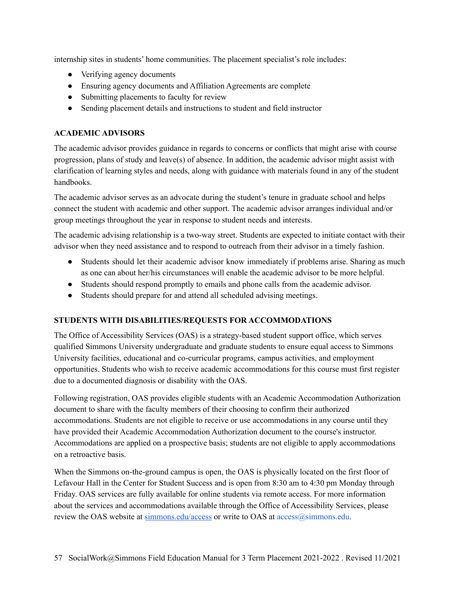internship sites in students' home communities. The placement specialist's role includes:

- Verifying agency documents
- Ensuring agency documents and Affiliation Agreements are complete
- Submitting placements to faculty for review
- Sending placement details and instructions to student and field instructor

#### <span id="page-56-0"></span>**ACADEMIC ADVISORS**

 The academic advisor provides guidance in regards to concerns or conflicts that might arise with course progression, plans of study and leave(s) of absence. In addition, the academic advisor might assist with clarification of learning styles and needs, along with guidance with materials found in any of the student handbooks.

 The academic advisor serves as an advocate during the student's tenure in graduate school and helps connect the student with academic and other support. The academic advisor arranges individual and/or group meetings throughout the year in response to student needs and interests.

 advisor when they need assistance and to respond to outreach from their advisor in a timely fashion. The academic advising relationship is a two-way street. Students are expected to initiate contact with their

- as one can about her/his circumstances will enable the academic advisor to be more helpful. • Students should let their academic advisor know immediately if problems arise. Sharing as much
- Students should respond promptly to emails and phone calls from the academic advisor.
- Students should prepare for and attend all scheduled advising meetings.

# <span id="page-56-1"></span> **STUDENTS WITH DISABILITIES/REQUESTS FOR ACCOMMODATIONS**

 The Office of Accessibility Services (OAS) is a strategy-based student support office, which serves qualified Simmons University undergraduate and graduate students to ensure equal access to Simmons University facilities, educational and co-curricular programs, campus activities, and employment opportunities. Students who wish to receive academic accommodations for this course must first register due to a documented diagnosis or disability with the OAS.

 Following registration, OAS provides eligible students with an Academic Accommodation Authorization document to share with the faculty members of their choosing to confirm their authorized accommodations. Students are not eligible to receive or use accommodations in any course until they have provided their Academic Accommodation Authorization document to the course's instructor. Accommodations are applied on a prospective basis; students are not eligible to apply accommodations on a retroactive basis.

 When the Simmons on-the-ground campus is open, the OAS is physically located on the first floor of Lefavour Hall in the Center for Student Success and is open from 8:30 am to 4:30 pm Monday through Friday. OAS services are fully available for online students via remote access. For more information about the services and accommodations available through the Office of Accessibility Services, please review the OAS website at [simmons.edu/access](http://simmons.edu/access) or write to OAS at [access@simmons.edu](mailto:access@simmons.edu).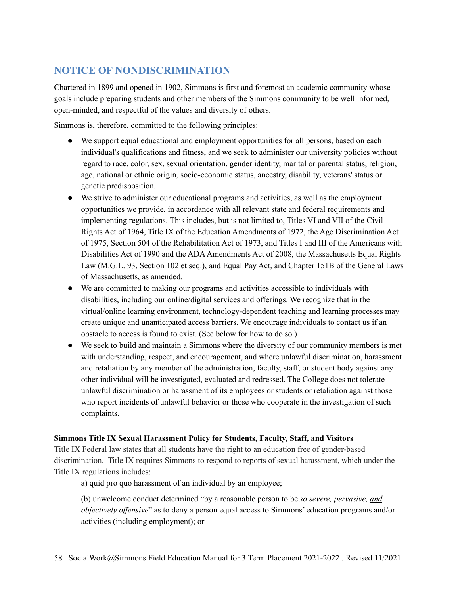# <span id="page-57-0"></span>**NOTICE OF NONDISCRIMINATION**

Chartered in 1899 and opened in 1902, Simmons is first and foremost an academic community whose goals include preparing students and other members of the Simmons community to be well informed, open-minded, and respectful of the values and diversity of others.

Simmons is, therefore, committed to the following principles:

- We support equal educational and employment opportunities for all persons, based on each individual's qualifications and fitness, and we seek to administer our university policies without regard to race, color, sex, sexual orientation, gender identity, marital or parental status, religion, age, national or ethnic origin, socio-economic status, ancestry, disability, veterans' status or genetic predisposition.
- We strive to administer our educational programs and activities, as well as the employment opportunities we provide, in accordance with all relevant state and federal requirements and implementing regulations. This includes, but is not limited to, Titles VI and VII of the Civil Rights Act of 1964, Title IX of the Education Amendments of 1972, the Age Discrimination Act of 1975, Section 504 of the Rehabilitation Act of 1973, and Titles I and III of the Americans with Disabilities Act of 1990 and the ADAAmendments Act of 2008, the Massachusetts Equal Rights Law (M.G.L. 93, Section 102 et seq.), and Equal Pay Act, and Chapter 151B of the General Laws of Massachusetts, as amended.
- We are committed to making our programs and activities accessible to individuals with disabilities, including our online/digital services and offerings. We recognize that in the virtual/online learning environment, technology-dependent teaching and learning processes may create unique and unanticipated access barriers. We encourage individuals to contact us if an obstacle to access is found to exist. (See below for how to do so.)
- We seek to build and maintain a Simmons where the diversity of our community members is met with understanding, respect, and encouragement, and where unlawful discrimination, harassment and retaliation by any member of the administration, faculty, staff, or student body against any other individual will be investigated, evaluated and redressed. The College does not tolerate unlawful discrimination or harassment of its employees or students or retaliation against those who report incidents of unlawful behavior or those who cooperate in the investigation of such complaints.

#### <span id="page-57-1"></span>**Simmons Title IX Sexual Harassment Policy for Students, Faculty, Staff, and Visitors**

Title IX Federal law states that all students have the right to an education free of gender-based discrimination. Title IX requires Simmons to respond to reports of sexual harassment, which under the Title IX regulations includes:

a) quid pro quo harassment of an individual by an employee;

(b) unwelcome conduct determined "by a reasonable person to be *so severe, pervasive, <u>and</u> objectively offensive*" as to deny a person equal access to Simmons' education programs and/or activities (including employment); or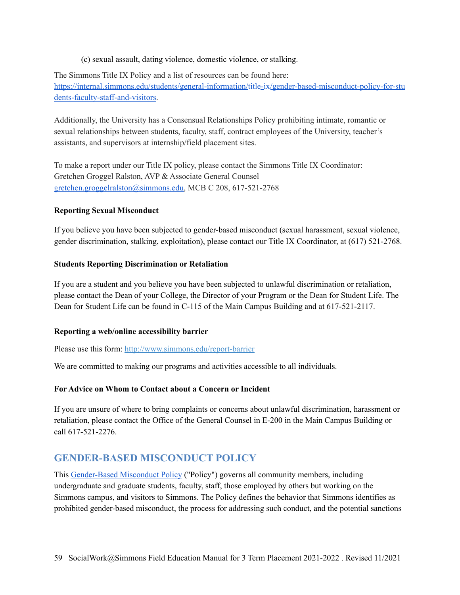#### (c) sexual assault, dating violence, domestic violence, or stalking.

 The Simmons Title IX Policy and a list of resources can be found here: [https://internal.simmons.edu/students/general-information/title-ix/gender-based-misconduct-policy-for-stu](https://internal.simmons.edu/students/general-information/title-ix/gender-based-misconduct-policy-for-students-faculty-staff-and-visitors) [dents-faculty-staff-and-visitors.](https://internal.simmons.edu/students/general-information/title-ix/gender-based-misconduct-policy-for-students-faculty-staff-and-visitors)

 Additionally, the University has a Consensual Relationships Policy prohibiting intimate, romantic or sexual relationships between students, faculty, staff, contract employees of the University, teacher's assistants, and supervisors at internship/field placement sites.

 To make a report under our Title IX policy, please contact the Simmons Title IX Coordinator: Gretchen Groggel Ralston, AVP & Associate General Counsel [gretchen.groggelralston@simmons.edu,](mailto:gretchen.groggelralston@simmons.edu) MCB C 208, 617-521-2768

#### <span id="page-58-0"></span> **Reporting Sexual Misconduct**

 If you believe you have been subjected to gender-based misconduct (sexual harassment, sexual violence, gender discrimination, stalking, exploitation), please contact our Title IX Coordinator, at (617) 521-2768.

#### <span id="page-58-1"></span> **Students Reporting Discrimination or Retaliation**

 If you are a student and you believe you have been subjected to unlawful discrimination or retaliation, please contact the Dean of your College, the Director of your Program or the Dean for Student Life. The Dean for Student Life can be found in C-115 of the Main Campus Building and at 617-521-2117.

#### <span id="page-58-2"></span> **Reporting a web/online accessibility barrier**

Please use this form: <http://www.simmons.edu/report-barrier>

We are committed to making our programs and activities accessible to all individuals.

#### <span id="page-58-3"></span> **For Advice on Whom to Contact about a Concern or Incident**

 If you are unsure of where to bring complaints or concerns about unlawful discrimination, harassment or retaliation, please contact the Office of the General Counsel in E-200 in the Main Campus Building or call 617-521-2276.

# <span id="page-58-4"></span>**GENDER-BASED MISCONDUCT POLICY**

This **[Gender-Based](https://www.simmons.edu/your-simmons/commitment-inclusivity/title-ix/gender-based-misconduct-policy) Misconduct Policy** ("Policy") governs all community members, including undergraduate and graduate students, faculty, staff, those employed by others but working on the Simmons campus, and visitors to Simmons. The Policy defines the behavior that Simmons identifies as prohibited gender-based misconduct, the process for addressing such conduct, and the potential sanctions